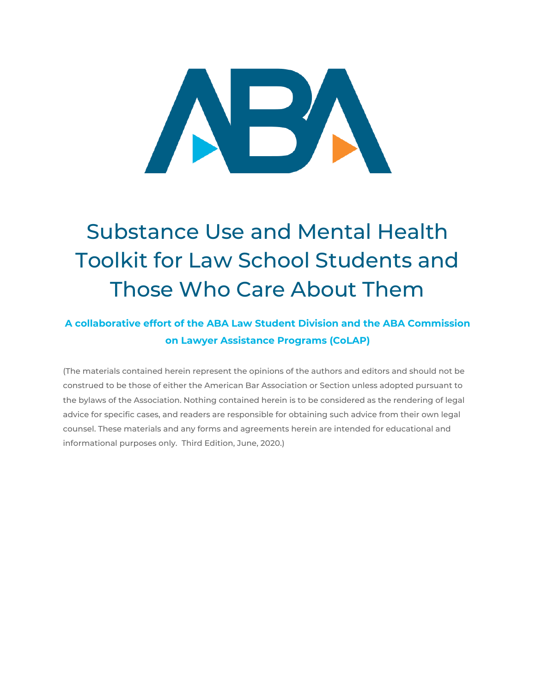# $\mathbb{R}^J$

# Substance Use and Mental Health Toolkit for Law School Students and Those Who Care About Them

## **A collaborative effort of the ABA Law Student Division and the ABA Commission on Lawyer Assistance Programs (CoLAP)**

(The materials contained herein represent the opinions of the authors and editors and should not be construed to be those of either the American Bar Association or Section unless adopted pursuant to the bylaws of the Association. Nothing contained herein is to be considered as the rendering of legal advice for specific cases, and readers are responsible for obtaining such advice from their own legal counsel. These materials and any forms and agreements herein are intended for educational and informational purposes only. Third Edition, June, 2020.)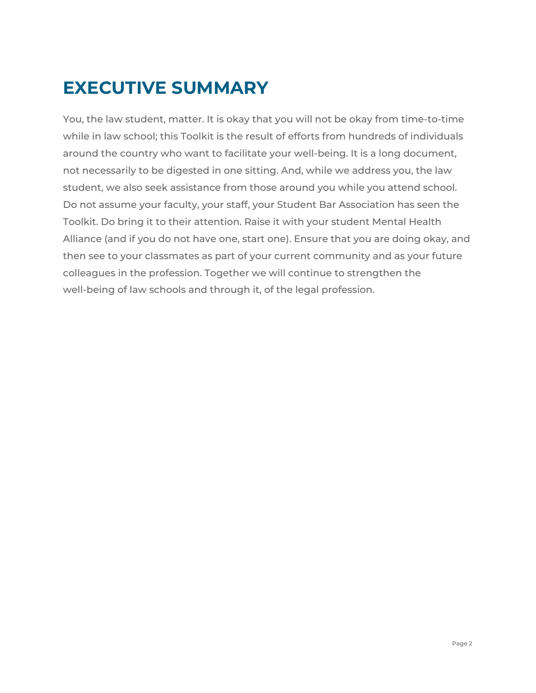# <span id="page-1-0"></span>**EXECUTIVE SUMMARY**

You, the law student, matter. It is okay that you will not be okay from time-to-time while in law school; this Toolkit is the result of efforts from hundreds of individuals around the country who want to facilitate your well-being. It is a long document, not necessarily to be digested in one sitting. And, while we address you, the law student, we also seek assistance from those around you while you attend school. Do not assume your faculty, your staff, your Student Bar Association has seen the Toolkit. Do bring it to their attention. Raise it with your student Mental Health Alliance (and if you do not have one, start one). Ensure that you are doing okay, and then see to your classmates as part of your current community and as your future colleagues in the profession. Together we will continue to strengthen the well-being of law schools and through it, of the legal profession.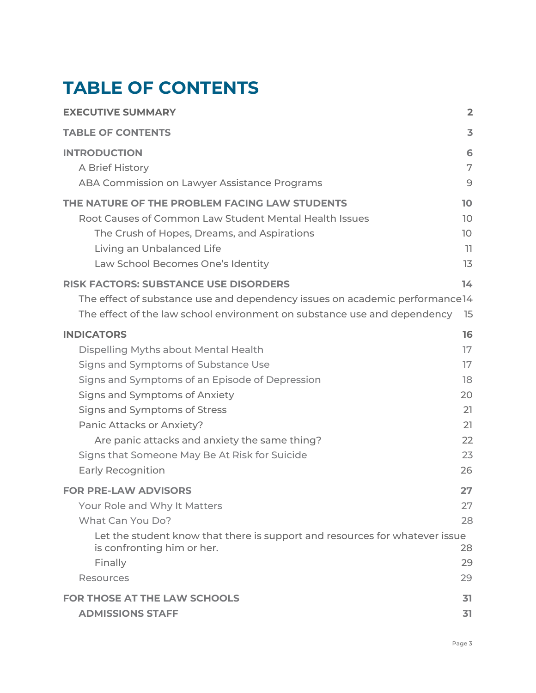# <span id="page-2-0"></span>**TABLE OF CONTENTS**

| <b>EXECUTIVE SUMMARY</b>                                                                                                                                                                                                    | $\overline{2}$                   |
|-----------------------------------------------------------------------------------------------------------------------------------------------------------------------------------------------------------------------------|----------------------------------|
| <b>TABLE OF CONTENTS</b>                                                                                                                                                                                                    | 3                                |
| <b>INTRODUCTION</b>                                                                                                                                                                                                         | 6                                |
| A Brief History                                                                                                                                                                                                             | 7                                |
| ABA Commission on Lawyer Assistance Programs                                                                                                                                                                                | 9                                |
| THE NATURE OF THE PROBLEM FACING LAW STUDENTS                                                                                                                                                                               | 10                               |
| Root Causes of Common Law Student Mental Health Issues                                                                                                                                                                      | 10                               |
| The Crush of Hopes, Dreams, and Aspirations                                                                                                                                                                                 | 10                               |
| Living an Unbalanced Life                                                                                                                                                                                                   | -11                              |
| Law School Becomes One's Identity                                                                                                                                                                                           | 13                               |
| <b>RISK FACTORS: SUBSTANCE USE DISORDERS</b><br>The effect of substance use and dependency issues on academic performance 14<br>The effect of the law school environment on substance use and dependency                    | 14<br>15                         |
| <b>INDICATORS</b>                                                                                                                                                                                                           | 16                               |
| Dispelling Myths about Mental Health                                                                                                                                                                                        | 17                               |
| Signs and Symptoms of Substance Use                                                                                                                                                                                         | 17                               |
| Signs and Symptoms of an Episode of Depression                                                                                                                                                                              | 18                               |
| Signs and Symptoms of Anxiety                                                                                                                                                                                               | 20                               |
| Signs and Symptoms of Stress                                                                                                                                                                                                | 21                               |
| Panic Attacks or Anxiety?                                                                                                                                                                                                   | 21                               |
| Are panic attacks and anxiety the same thing?                                                                                                                                                                               | 22                               |
| Signs that Someone May Be At Risk for Suicide                                                                                                                                                                               | 23                               |
| <b>Early Recognition</b>                                                                                                                                                                                                    | 26                               |
| <b>FOR PRE-LAW ADVISORS</b><br>Your Role and Why It Matters<br>What Can You Do?<br>Let the student know that there is support and resources for whatever issue<br>is confronting him or her.<br>Finally<br><b>Resources</b> | 27<br>27<br>28<br>28<br>29<br>29 |
| <b>FOR THOSE AT THE LAW SCHOOLS</b>                                                                                                                                                                                         | 31                               |
| <b>ADMISSIONS STAFF</b>                                                                                                                                                                                                     | 31                               |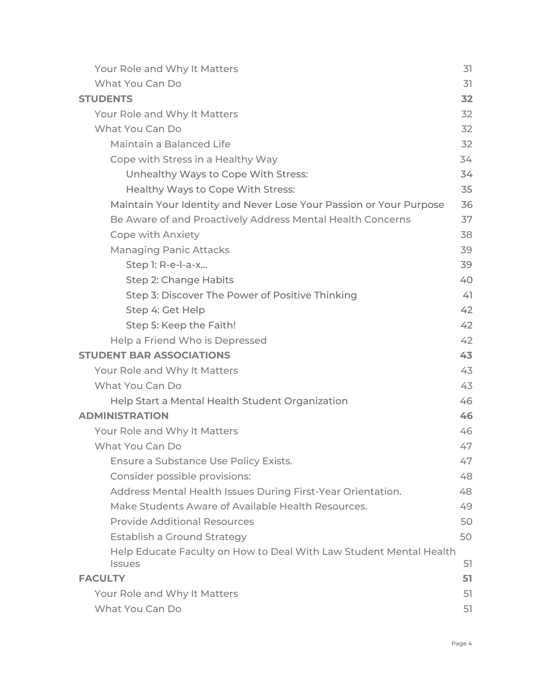| Your Role and Why It Matters                                                        | 31 |
|-------------------------------------------------------------------------------------|----|
| What You Can Do                                                                     | 31 |
| <b>STUDENTS</b>                                                                     | 32 |
| Your Role and Why It Matters                                                        | 32 |
| What You Can Do                                                                     | 32 |
| Maintain a Balanced Life                                                            | 32 |
| Cope with Stress in a Healthy Way                                                   | 34 |
| Unhealthy Ways to Cope With Stress:                                                 | 34 |
| Healthy Ways to Cope With Stress:                                                   | 35 |
| Maintain Your Identity and Never Lose Your Passion or Your Purpose                  | 36 |
| Be Aware of and Proactively Address Mental Health Concerns                          | 37 |
| <b>Cope with Anxiety</b>                                                            | 38 |
| <b>Managing Panic Attacks</b>                                                       | 39 |
| Step 1: R-e-l-a-x                                                                   | 39 |
| Step 2: Change Habits                                                               | 40 |
| Step 3: Discover The Power of Positive Thinking                                     | 41 |
| Step 4: Get Help                                                                    | 42 |
| Step 5: Keep the Faith!                                                             | 42 |
| Help a Friend Who is Depressed                                                      | 42 |
| <b>STUDENT BAR ASSOCIATIONS</b>                                                     | 43 |
| Your Role and Why It Matters                                                        | 43 |
| What You Can Do                                                                     | 43 |
| Help Start a Mental Health Student Organization                                     | 46 |
| <b>ADMINISTRATION</b>                                                               | 46 |
| Your Role and Why It Matters                                                        | 46 |
| What You Can Do                                                                     | 47 |
| Ensure a Substance Use Policy Exists.                                               | 47 |
| Consider possible provisions:                                                       | 48 |
| Address Mental Health Issues During First-Year Orientation.                         | 48 |
| Make Students Aware of Available Health Resources.                                  | 49 |
| <b>Provide Additional Resources</b>                                                 | 50 |
| Establish a Ground Strategy                                                         | 50 |
| Help Educate Faculty on How to Deal With Law Student Mental Health<br><b>Issues</b> | 51 |
| <b>FACULTY</b>                                                                      | 51 |
| Your Role and Why It Matters                                                        | 51 |
| What You Can Do                                                                     | 51 |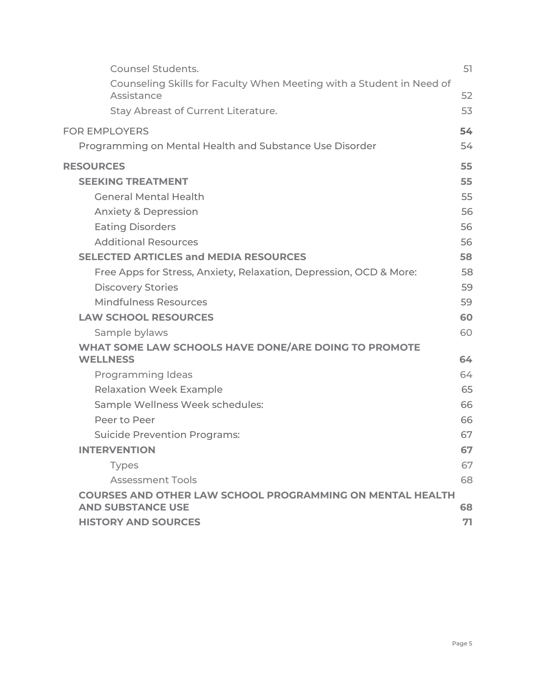| <b>Counsel Students.</b>                                                                     | 51 |
|----------------------------------------------------------------------------------------------|----|
| Counseling Skills for Faculty When Meeting with a Student in Need of<br>Assistance           | 52 |
| <b>Stay Abreast of Current Literature.</b>                                                   | 53 |
| <b>FOR EMPLOYERS</b>                                                                         | 54 |
| Programming on Mental Health and Substance Use Disorder                                      | 54 |
| <b>RESOURCES</b>                                                                             | 55 |
| <b>SEEKING TREATMENT</b>                                                                     | 55 |
| <b>General Mental Health</b>                                                                 | 55 |
| <b>Anxiety &amp; Depression</b>                                                              | 56 |
| <b>Eating Disorders</b>                                                                      | 56 |
| <b>Additional Resources</b>                                                                  | 56 |
| <b>SELECTED ARTICLES and MEDIA RESOURCES</b>                                                 | 58 |
| Free Apps for Stress, Anxiety, Relaxation, Depression, OCD & More:                           | 58 |
| <b>Discovery Stories</b>                                                                     | 59 |
| <b>Mindfulness Resources</b>                                                                 | 59 |
| <b>LAW SCHOOL RESOURCES</b>                                                                  | 60 |
| Sample bylaws                                                                                | 60 |
| WHAT SOME LAW SCHOOLS HAVE DONE/ARE DOING TO PROMOTE<br><b>WELLNESS</b>                      | 64 |
| <b>Programming Ideas</b>                                                                     | 64 |
| <b>Relaxation Week Example</b>                                                               | 65 |
| Sample Wellness Week schedules:                                                              | 66 |
| Peer to Peer                                                                                 | 66 |
| <b>Suicide Prevention Programs:</b>                                                          | 67 |
| <b>INTERVENTION</b>                                                                          | 67 |
| <b>Types</b>                                                                                 | 67 |
| <b>Assessment Tools</b>                                                                      | 68 |
| <b>COURSES AND OTHER LAW SCHOOL PROGRAMMING ON MENTAL HEALTH</b><br><b>AND SUBSTANCE USE</b> | 68 |
| <b>HISTORY AND SOURCES</b>                                                                   | 71 |
|                                                                                              |    |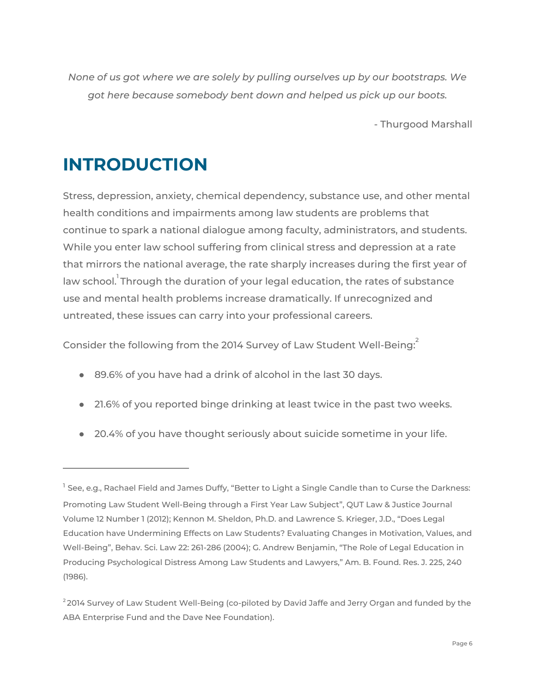*None of us got where we are solely by pulling ourselves up by our bootstraps. We got here because somebody bent down and helped us pick up our boots.*

- Thurgood Marshall

## <span id="page-5-0"></span>**INTRODUCTION**

Stress, depression, anxiety, chemical dependency, substance use, and other mental health conditions and impairments among law students are problems that continue to spark a national dialogue among faculty, administrators, and students. While you enter law school suffering from clinical stress and depression at a rate that mirrors the national average, the rate sharply increases during the first year of law school. Through the duration of your legal education, the rates of substance use and mental health problems increase dramatically. If unrecognized and untreated, these issues can carry into your professional careers.

Consider the following from the 2014 Survey of Law Student Well-Being:  $^{\rm 2}$ 

- 89.6% of you have had a drink of alcohol in the last 30 days.
- 21.6% of you reported binge drinking at least twice in the past two weeks.
- 20.4% of you have thought seriously about suicide sometime in your life.

 $^{\text{1}}$  See, e.g., Rachael Field and James Duffy, "Better to Light a Single Candle than to Curse the Darkness: Promoting Law Student Well-Being through a First Year Law Subject", QUT Law & Justice Journal Volume 12 Number 1 (2012); Kennon M. Sheldon, Ph.D. and Lawrence S. Krieger, J.D., "Does Legal Education have Undermining Effects on Law Students? Evaluating Changes in Motivation, Values, and Well-Being", Behav. Sci. Law 22: 261-286 (2004); G. Andrew Benjamin, "The Role of Legal Education in Producing Psychological Distress Among Law Students and Lawyers," Am. B. Found. Res. J. 225, 240 (1986).

<sup>&</sup>lt;sup>2</sup> 2014 Survey of Law Student Well-Being (co-piloted by David Jaffe and Jerry Organ and funded by the ABA Enterprise Fund and the Dave Nee Foundation).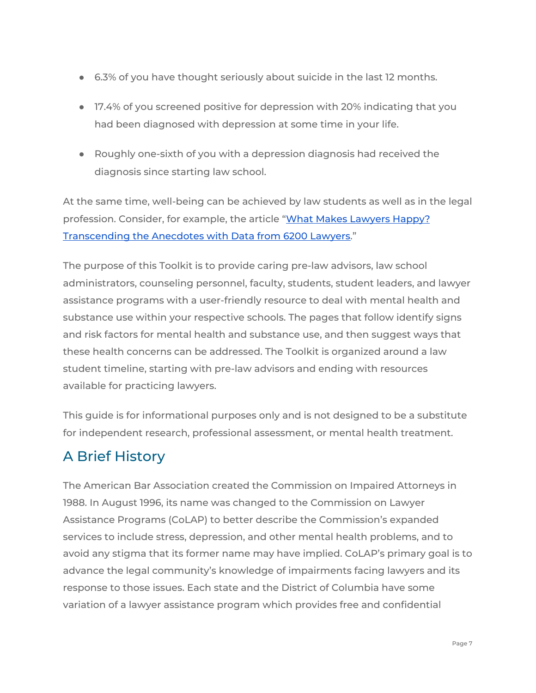- 6.3% of you have thought seriously about suicide in the last 12 months.
- 17.4% of you screened positive for depression with 20% indicating that you had been diagnosed with depression at some time in your life.
- Roughly one-sixth of you with a depression diagnosis had received the diagnosis since starting law school.

At the same time, well-being can be achieved by law students as well as in the legal profession. Consider, for example, the article "What Makes [Lawyers](http://ssrn.com/abstract=2398989) Happy? [Transcending](http://ssrn.com/abstract=2398989) the Anecdotes with Data from 6200 Lawyers."

The purpose of this Toolkit is to provide caring pre-law advisors, law school administrators, counseling personnel, faculty, students, student leaders, and lawyer assistance programs with a user-friendly resource to deal with mental health and substance use within your respective schools. The pages that follow identify signs and risk factors for mental health and substance use, and then suggest ways that these health concerns can be addressed. The Toolkit is organized around a law student timeline, starting with pre-law advisors and ending with resources available for practicing lawyers.

This guide is for informational purposes only and is not designed to be a substitute for independent research, professional assessment, or mental health treatment.

## <span id="page-6-0"></span>A Brief History

The American Bar Association created the Commission on Impaired Attorneys in 1988. In August 1996, its name was changed to the Commission on Lawyer Assistance Programs (CoLAP) to better describe the Commission's expanded services to include stress, depression, and other mental health problems, and to avoid any stigma that its former name may have implied. CoLAP's primary goal is to advance the legal community's knowledge of impairments facing lawyers and its response to those issues. Each state and the District of Columbia have some variation of a lawyer assistance program which provides free and confidential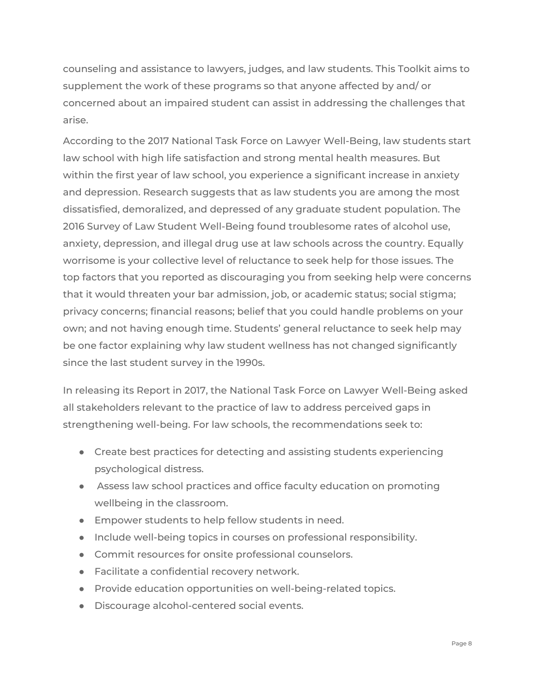counseling and assistance to lawyers, judges, and law students. This Toolkit aims to supplement the work of these programs so that anyone affected by and/ or concerned about an impaired student can assist in addressing the challenges that arise.

According to the 2017 National Task Force on Lawyer Well-Being, law students start law school with high life satisfaction and strong mental health measures. But within the first year of law school, you experience a significant increase in anxiety and depression. Research suggests that as law students you are among the most dissatisfied, demoralized, and depressed of any graduate student population. The 2016 Survey of Law Student Well-Being found troublesome rates of alcohol use, anxiety, depression, and illegal drug use at law schools across the country. Equally worrisome is your collective level of reluctance to seek help for those issues. The top factors that you reported as discouraging you from seeking help were concerns that it would threaten your bar admission, job, or academic status; social stigma; privacy concerns; financial reasons; belief that you could handle problems on your own; and not having enough time. Students' general reluctance to seek help may be one factor explaining why law student wellness has not changed significantly since the last student survey in the 1990s.

In releasing its Report in 2017, the National Task Force on Lawyer Well-Being asked all stakeholders relevant to the practice of law to address perceived gaps in strengthening well-being. For law schools, the recommendations seek to:

- Create best practices for detecting and assisting students experiencing psychological distress.
- Assess law school practices and office faculty education on promoting wellbeing in the classroom.
- Empower students to help fellow students in need.
- Include well-being topics in courses on professional responsibility.
- Commit resources for onsite professional counselors.
- Facilitate a confidential recovery network.
- Provide education opportunities on well-being-related topics.
- Discourage alcohol-centered social events.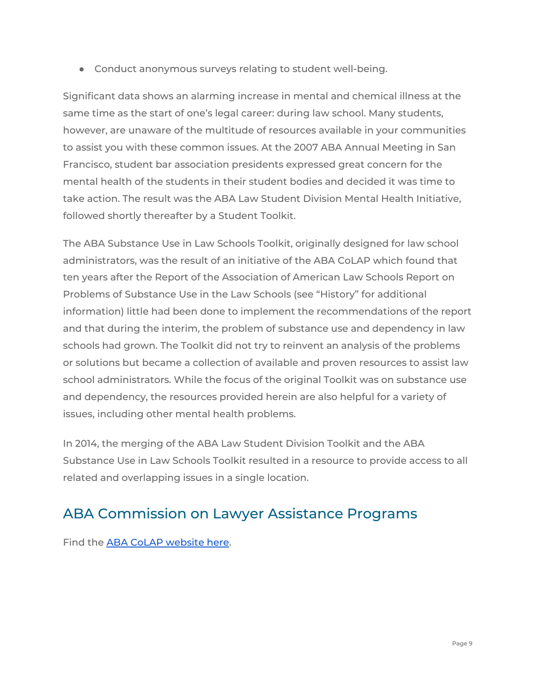● Conduct anonymous surveys relating to student well-being.

Significant data shows an alarming increase in mental and chemical illness at the same time as the start of one's legal career: during law school. Many students, however, are unaware of the multitude of resources available in your communities to assist you with these common issues. At the 2007 ABA Annual Meeting in San Francisco, student bar association presidents expressed great concern for the mental health of the students in their student bodies and decided it was time to take action. The result was the ABA Law Student Division Mental Health Initiative, followed shortly thereafter by a Student Toolkit.

The ABA Substance Use in Law Schools Toolkit, originally designed for law school administrators, was the result of an initiative of the ABA CoLAP which found that ten years after the Report of the Association of American Law Schools Report on Problems of Substance Use in the Law Schools (see "History" for additional information) little had been done to implement the recommendations of the report and that during the interim, the problem of substance use and dependency in law schools had grown. The Toolkit did not try to reinvent an analysis of the problems or solutions but became a collection of available and proven resources to assist law school administrators. While the focus of the original Toolkit was on substance use and dependency, the resources provided herein are also helpful for a variety of issues, including other mental health problems.

In 2014, the merging of the ABA Law Student Division Toolkit and the ABA Substance Use in Law Schools Toolkit resulted in a resource to provide access to all related and overlapping issues in a single location.

## <span id="page-8-0"></span>ABA Commission on Lawyer Assistance Programs

Find the ABA CoLAP [website](http://www.americanbar.org/groups/lawyer_assistance.html) here.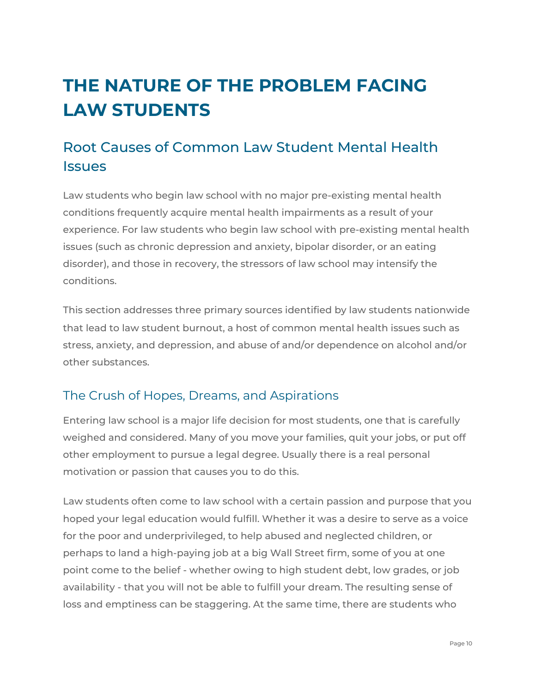# <span id="page-9-0"></span>**THE NATURE OF THE PROBLEM FACING LAW STUDENTS**

## <span id="page-9-1"></span>Root Causes of Common Law Student Mental Health **Issues**

Law students who begin law school with no major pre-existing mental health conditions frequently acquire mental health impairments as a result of your experience. For law students who begin law school with pre-existing mental health issues (such as chronic depression and anxiety, bipolar disorder, or an eating disorder), and those in recovery, the stressors of law school may intensify the conditions.

This section addresses three primary sources identified by law students nationwide that lead to law student burnout, a host of common mental health issues such as stress, anxiety, and depression, and abuse of and/or dependence on alcohol and/or other substances.

## <span id="page-9-2"></span>The Crush of Hopes, Dreams, and Aspirations

Entering law school is a major life decision for most students, one that is carefully weighed and considered. Many of you move your families, quit your jobs, or put off other employment to pursue a legal degree. Usually there is a real personal motivation or passion that causes you to do this.

Law students often come to law school with a certain passion and purpose that you hoped your legal education would fulfill. Whether it was a desire to serve as a voice for the poor and underprivileged, to help abused and neglected children, or perhaps to land a high-paying job at a big Wall Street firm, some of you at one point come to the belief - whether owing to high student debt, low grades, or job availability - that you will not be able to fulfill your dream. The resulting sense of loss and emptiness can be staggering. At the same time, there are students who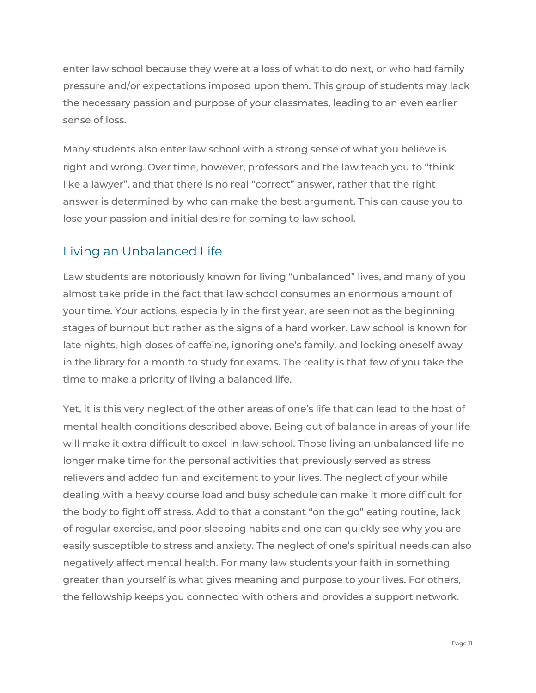enter law school because they were at a loss of what to do next, or who had family pressure and/or expectations imposed upon them. This group of students may lack the necessary passion and purpose of your classmates, leading to an even earlier sense of loss.

Many students also enter law school with a strong sense of what you believe is right and wrong. Over time, however, professors and the law teach you to "think like a lawyer", and that there is no real "correct" answer, rather that the right answer is determined by who can make the best argument. This can cause you to lose your passion and initial desire for coming to law school.

## <span id="page-10-0"></span>Living an Unbalanced Life

Law students are notoriously known for living "unbalanced" lives, and many of you almost take pride in the fact that law school consumes an enormous amount of your time. Your actions, especially in the first year, are seen not as the beginning stages of burnout but rather as the signs of a hard worker. Law school is known for late nights, high doses of caffeine, ignoring one's family, and locking oneself away in the library for a month to study for exams. The reality is that few of you take the time to make a priority of living a balanced life.

Yet, it is this very neglect of the other areas of one's life that can lead to the host of mental health conditions described above. Being out of balance in areas of your life will make it extra difficult to excel in law school. Those living an unbalanced life no longer make time for the personal activities that previously served as stress relievers and added fun and excitement to your lives. The neglect of your while dealing with a heavy course load and busy schedule can make it more difficult for the body to fight off stress. Add to that a constant "on the go" eating routine, lack of regular exercise, and poor sleeping habits and one can quickly see why you are easily susceptible to stress and anxiety. The neglect of one's spiritual needs can also negatively affect mental health. For many law students your faith in something greater than yourself is what gives meaning and purpose to your lives. For others, the fellowship keeps you connected with others and provides a support network.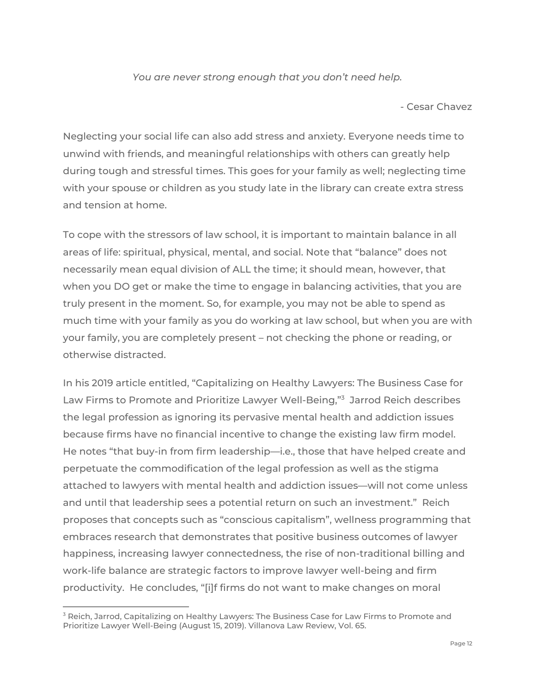#### *You are never strong enough that you don't need help.*

- Cesar Chavez

Neglecting your social life can also add stress and anxiety. Everyone needs time to unwind with friends, and meaningful relationships with others can greatly help during tough and stressful times. This goes for your family as well; neglecting time with your spouse or children as you study late in the library can create extra stress and tension at home.

To cope with the stressors of law school, it is important to maintain balance in all areas of life: spiritual, physical, mental, and social. Note that "balance" does not necessarily mean equal division of ALL the time; it should mean, however, that when you DO get or make the time to engage in balancing activities, that you are truly present in the moment. So, for example, you may not be able to spend as much time with your family as you do working at law school, but when you are with your family, you are completely present – not checking the phone or reading, or otherwise distracted.

In his 2019 article entitled, "Capitalizing on Healthy Lawyers: The Business Case for Law Firms to Promote and Prioritize Lawyer Well-Being,"<sup>3</sup> Jarrod Reich describes the legal profession as ignoring its pervasive mental health and addiction issues because firms have no financial incentive to change the existing law firm model. He notes "that buy-in from firm leadership—i.e., those that have helped create and perpetuate the commodification of the legal profession as well as the stigma attached to lawyers with mental health and addiction issues—will not come unless and until that leadership sees a potential return on such an investment." Reich proposes that concepts such as "conscious capitalism", wellness programming that embraces research that demonstrates that positive business outcomes of lawyer happiness, increasing lawyer connectedness, the rise of non-traditional billing and work-life balance are strategic factors to improve lawyer well-being and firm productivity. He concludes, "[i]f firms do not want to make changes on moral

 $3$  Reich, Jarrod, Capitalizing on Healthy Lawyers: The Business Case for Law Firms to Promote and Prioritize Lawyer Well-Being (August 15, 2019). Villanova Law Review, Vol. 65.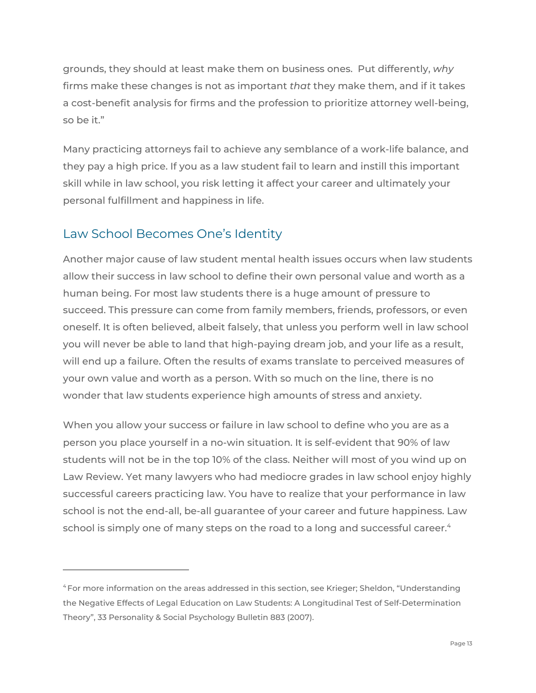grounds, they should at least make them on business ones. Put differently, *why* firms make these changes is not as important *that* they make them, and if it takes a cost-benefit analysis for firms and the profession to prioritize attorney well-being, so be it."

Many practicing attorneys fail to achieve any semblance of a work-life balance, and they pay a high price. If you as a law student fail to learn and instill this important skill while in law school, you risk letting it affect your career and ultimately your personal fulfillment and happiness in life.

## <span id="page-12-0"></span>Law School Becomes One's Identity

Another major cause of law student mental health issues occurs when law students allow their success in law school to define their own personal value and worth as a human being. For most law students there is a huge amount of pressure to succeed. This pressure can come from family members, friends, professors, or even oneself. It is often believed, albeit falsely, that unless you perform well in law school you will never be able to land that high-paying dream job, and your life as a result, will end up a failure. Often the results of exams translate to perceived measures of your own value and worth as a person. With so much on the line, there is no wonder that law students experience high amounts of stress and anxiety.

When you allow your success or failure in law school to define who you are as a person you place yourself in a no-win situation. It is self-evident that 90% of law students will not be in the top 10% of the class. Neither will most of you wind up on Law Review. Yet many lawyers who had mediocre grades in law school enjoy highly successful careers practicing law. You have to realize that your performance in law school is not the end-all, be-all guarantee of your career and future happiness. Law school is simply one of many steps on the road to a long and successful career. $\lq$ 

<sup>4</sup> For more information on the areas addressed in this section, see Krieger; Sheldon, "Understanding the Negative Effects of Legal Education on Law Students: A Longitudinal Test of Self-Determination Theory", 33 Personality & Social Psychology Bulletin 883 (2007).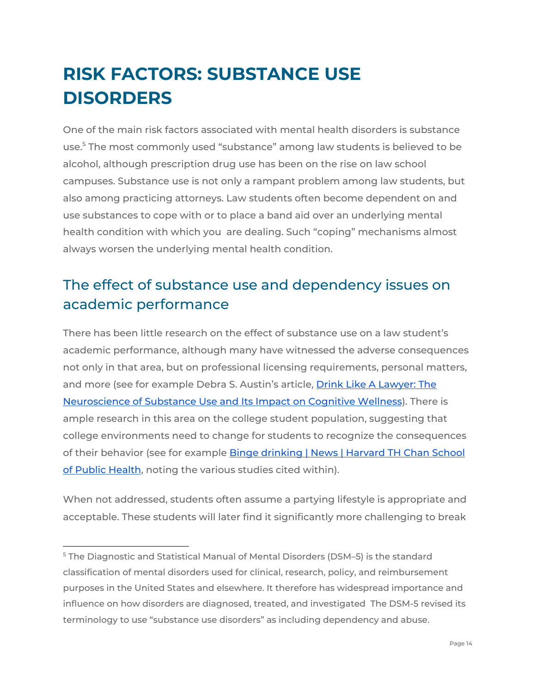# <span id="page-13-0"></span>**RISK FACTORS: SUBSTANCE USE DISORDERS**

One of the main risk factors associated with mental health disorders is substance use.<sup>5</sup> The most commonly used "substance" among law students is believed to be alcohol, although prescription drug use has been on the rise on law school campuses. Substance use is not only a rampant problem among law students, but also among practicing attorneys. Law students often become dependent on and use substances to cope with or to place a band aid over an underlying mental health condition with which you are dealing. Such "coping" mechanisms almost always worsen the underlying mental health condition.

## <span id="page-13-1"></span>The effect of substance use and dependency issues on academic performance

There has been little research on the effect of substance use on a law student's academic performance, although many have witnessed the adverse consequences not only in that area, but on professional licensing requirements, personal matters, and more (see for example Debra S. Austin's article, Drink Like A [Lawyer:](https://scholars.law.unlv.edu/cgi/viewcontent.cgi?article=1598&context=nlj) The [Neuroscience](https://scholars.law.unlv.edu/cgi/viewcontent.cgi?article=1598&context=nlj) of Substance Use and Its Impact on Cognitive Wellness). There is ample research in this area on the college student population, suggesting that college environments need to change for students to recognize the consequences of their behavior (see for example Binge [drinking](http://www.hsph.harvard.edu/news/magazine/winter09binge/) | News | Harvard TH Chan School of Public [Health](http://www.hsph.harvard.edu/news/magazine/winter09binge/), noting the various studies cited within).

When not addressed, students often assume a partying lifestyle is appropriate and acceptable. These students will later find it significantly more challenging to break

<sup>5</sup> The Diagnostic and Statistical Manual of Mental Disorders (DSM–5) is the standard classification of mental disorders used for clinical, research, policy, and reimbursement purposes in the United States and elsewhere. It therefore has widespread importance and influence on how disorders are diagnosed, treated, and investigated The DSM-5 revised its terminology to use "substance use disorders" as including dependency and abuse.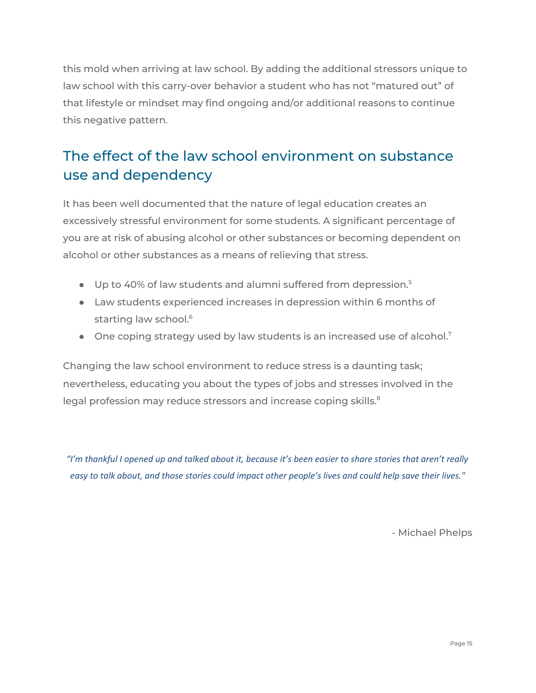this mold when arriving at law school. By adding the additional stressors unique to law school with this carry-over behavior a student who has not "matured out" of that lifestyle or mindset may find ongoing and/or additional reasons to continue this negative pattern.

## <span id="page-14-0"></span>The effect of the law school environment on substance use and dependency

It has been well documented that the nature of legal education creates an excessively stressful environment for some students. A significant percentage of you are at risk of abusing alcohol or other substances or becoming dependent on alcohol or other substances as a means of relieving that stress.

- Up to 40% of law students and alumni suffered from depression.<sup>5</sup>
- Law students experienced increases in depression within 6 months of starting law school. 6
- $\bullet$  One coping strategy used by law students is an increased use of alcohol.<sup>7</sup>

Changing the law school environment to reduce stress is a daunting task; nevertheless, educating you about the types of jobs and stresses involved in the legal profession may reduce stressors and increase coping skills. $^8$ 

"I'm thankful I opened up and talked about it, because it's been easier to share stories that aren't really easy to talk about, and those stories could impact other people's lives and could help save their lives."

- Michael Phelps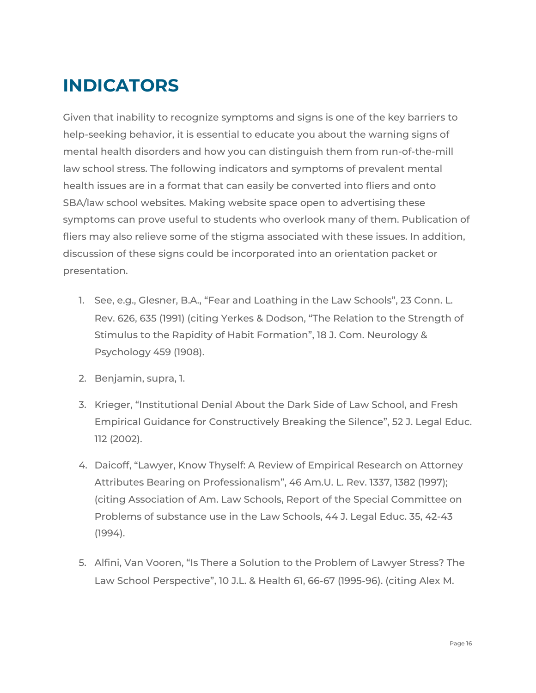# <span id="page-15-0"></span>**INDICATORS**

Given that inability to recognize symptoms and signs is one of the key barriers to help-seeking behavior, it is essential to educate you about the warning signs of mental health disorders and how you can distinguish them from run-of-the-mill law school stress. The following indicators and symptoms of prevalent mental health issues are in a format that can easily be converted into fliers and onto SBA/law school websites. Making website space open to advertising these symptoms can prove useful to students who overlook many of them. Publication of fliers may also relieve some of the stigma associated with these issues. In addition, discussion of these signs could be incorporated into an orientation packet or presentation.

- 1. See, e.g., Glesner, B.A., "Fear and Loathing in the Law Schools", 23 Conn. L. Rev. 626, 635 (1991) (citing Yerkes & Dodson, "The Relation to the Strength of Stimulus to the Rapidity of Habit Formation", 18 J. Com. Neurology & Psychology 459 (1908).
- 2. Benjamin, supra, 1.
- 3. Krieger, "Institutional Denial About the Dark Side of Law School, and Fresh Empirical Guidance for Constructively Breaking the Silence", 52 J. Legal Educ. 112 (2002).
- 4. Daicoff, "Lawyer, Know Thyself: A Review of Empirical Research on Attorney Attributes Bearing on Professionalism", 46 Am.U. L. Rev. 1337, 1382 (1997); (citing Association of Am. Law Schools, Report of the Special Committee on Problems of substance use in the Law Schools, 44 J. Legal Educ. 35, 42-43 (1994).
- 5. Alfini, Van Vooren, "Is There a Solution to the Problem of Lawyer Stress? The Law School Perspective", 10 J.L. & Health 61, 66-67 (1995-96). (citing Alex M.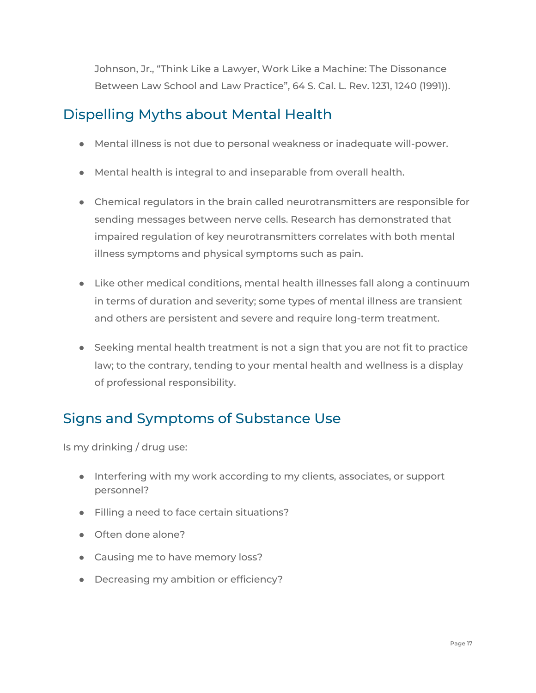Johnson, Jr., "Think Like a Lawyer, Work Like a Machine: The Dissonance Between Law School and Law Practice", 64 S. Cal. L. Rev. 1231, 1240 (1991)).

## <span id="page-16-0"></span>Dispelling Myths about Mental Health

- Mental illness is not due to personal weakness or inadequate will-power.
- Mental health is integral to and inseparable from overall health.
- Chemical regulators in the brain called neurotransmitters are responsible for sending messages between nerve cells. Research has demonstrated that impaired regulation of key neurotransmitters correlates with both mental illness symptoms and physical symptoms such as pain.
- Like other medical conditions, mental health illnesses fall along a continuum in terms of duration and severity; some types of mental illness are transient and others are persistent and severe and require long-term treatment.
- Seeking mental health treatment is not a sign that you are not fit to practice law; to the contrary, tending to your mental health and wellness is a display of professional responsibility.

## <span id="page-16-1"></span>Signs and Symptoms of Substance Use

Is my drinking / drug use:

- Interfering with my work according to my clients, associates, or support personnel?
- Filling a need to face certain situations?
- Often done alone?
- Causing me to have memory loss?
- Decreasing my ambition or efficiency?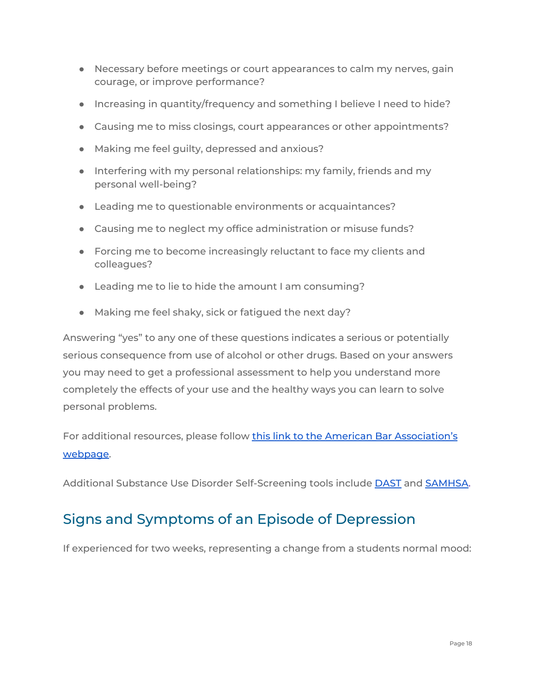- Necessary before meetings or court appearances to calm my nerves, gain courage, or improve performance?
- Increasing in quantity/frequency and something I believe I need to hide?
- Causing me to miss closings, court appearances or other appointments?
- Making me feel guilty, depressed and anxious?
- Interfering with my personal relationships: my family, friends and my personal well-being?
- Leading me to questionable environments or acquaintances?
- Causing me to neglect my office administration or misuse funds?
- Forcing me to become increasingly reluctant to face my clients and colleagues?
- Leading me to lie to hide the amount I am consuming?
- Making me feel shaky, sick or fatigued the next day?

Answering "yes" to any one of these questions indicates a serious or potentially serious consequence from use of alcohol or other drugs. Based on your answers you may need to get a professional assessment to help you understand more completely the effects of your use and the healthy ways you can learn to solve personal problems.

For additional resources, please follow this link to the American Bar [Association's](https://www.americanbar.org/groups/lawyer_assistance/resources/drug_abuse_dependence/) [webpage](https://www.americanbar.org/groups/lawyer_assistance/resources/drug_abuse_dependence/).

Additional Substance Use Disorder Self-Screening tools include [DAST](http://www.sbirtoregon.org/wp-content/uploads/DAST-English-pdf.pdf) and [SAMHSA.](https://www.integration.samhsa.gov/clinical-practice/screening-tools#drugs)

## <span id="page-17-0"></span>Signs and Symptoms of an Episode of Depression

If experienced for two weeks, representing a change from a students normal mood: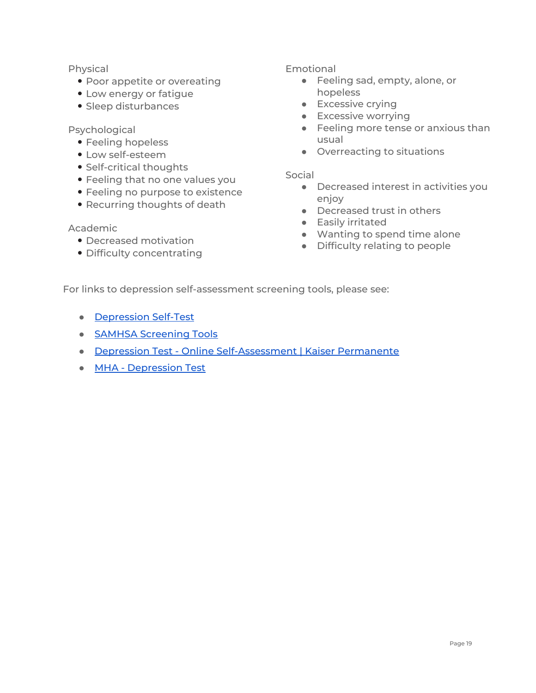#### Physical

- Poor appetite or overeating
- Low energy or fatigue
- Sleep disturbances

#### Psychological

- Feeling hopeless
- Low self-esteem
- Self-critical thoughts
- Feeling that no one values you
- Feeling no purpose to existence
- Recurring thoughts of death

#### Academic

- Decreased motivation
- Difficulty concentrating

#### Emotional

- Feeling sad, empty, alone, or hopeless
- Excessive crying
- **•** Excessive worrying
- Feeling more tense or anxious than usual
- Overreacting to situations

#### Social

- Decreased interest in activities you enjoy
- Decreased trust in others
- Easily irritated
- Wanting to spend time alone
- Difficulty relating to people

For links to depression self-assessment screening tools, please see:

- [Depression](https://www.dcbar.org/bar-resources/lawyer-assistance-program/Depression-Self-Test.cfm) Self-Test
- SAMHSA Screening Tools
- Depression Test Online [Self-Assessment](https://findyourwords.org/deal-with-depression/depression-self-assessment-test/) | Kaiser Permanente
- MHA [Depression](https://screening.mhanational.org/screening-tools/depression?ref=CAN) Test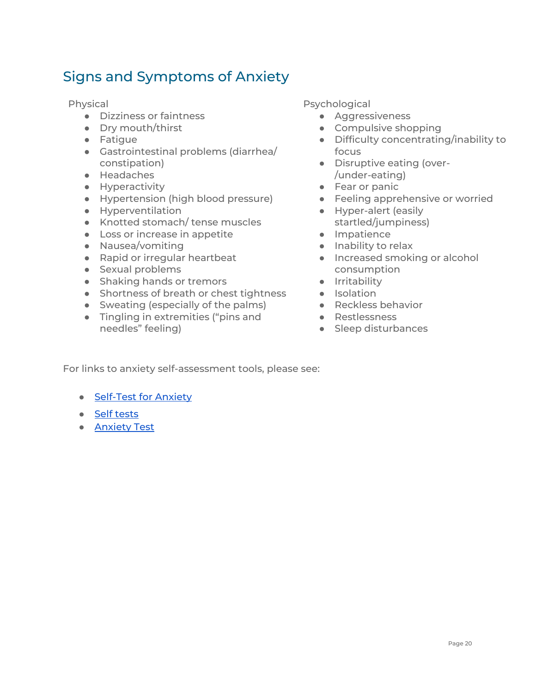## <span id="page-19-0"></span>Signs and Symptoms of Anxiety

Physical

- Dizziness or faintness
- Dry mouth/thirst
- Fatigue
- Gastrointestinal problems (diarrhea/ constipation)
- Headaches
- Hyperactivity
- Hypertension (high blood pressure)
- Hyperventilation
- Knotted stomach/ tense muscles
- Loss or increase in appetite
- Nausea/vomiting
- Rapid or irregular heartbeat
- Sexual problems
- Shaking hands or tremors
- Shortness of breath or chest tightness
- Sweating (especially of the palms)
- Tingling in extremities ("pins and needles" feeling)

Psychological

- Aggressiveness
- Compulsive shopping
- Difficulty concentrating/inability to focus
- Disruptive eating (over- /under-eating)
- Fear or panic
- **•** Feeling apprehensive or worried
- Hyper-alert (easily startled/jumpiness)
- Impatience
- Inability to relax
- Increased smoking or alcohol consumption
- **•** Irritability
- Isolation
- Reckless behavior
- Restlessness
- Sleep disturbances

For links to anxiety self-assessment tools, please see:

- [Self-Test](https://www.uofmhealth.org/sites/default/files/healthwise/media/pdf/hw/form_abn2339.pdf) for Anxiety
- Self [tests](https://depression.org.nz/is-it-depression-anxiety/self-test/)
- **•** [Anxiety](https://screening.mhanational.org/screening-tools/anxiety) Test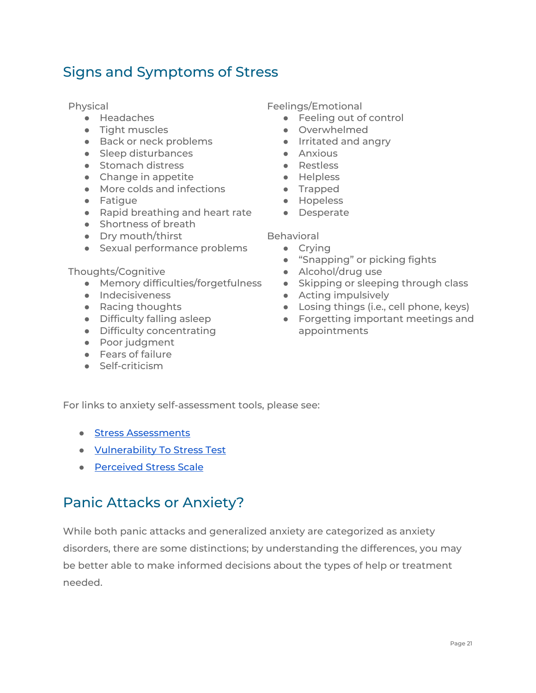## <span id="page-20-0"></span>Signs and Symptoms of Stress

Physical

- Headaches
- Tight muscles
- Back or neck problems
- Sleep disturbances
- Stomach distress
- Change in appetite
- More colds and infections
- Fatigue
- Rapid breathing and heart rate
- Shortness of breath
- Dry mouth/thirst
- Sexual performance problems

#### Thoughts/Cognitive

- Memory difficulties/forgetfulness
- Indecisiveness
- Racing thoughts
- Difficulty falling asleep
- Difficulty concentrating
- Poor judgment
- Fears of failure
- Self-criticism

Feelings/Emotional

- Feeling out of control
- Overwhelmed
- Irritated and angry
- Anxious
- Restless
- Helpless
- Trapped
	- Hopeless
	- Desperate

Behavioral

- Crying
- "Snapping" or picking fights
- Alcohol/drug use
- Skipping or sleeping through class
- Acting impulsively
- Losing things (i.e., cell phone, keys)
- Forgetting important meetings and appointments

For links to anxiety self-assessment tools, please see:

- Stress [Assessments](https://www.nysut.org/~/media/files/nysut/resources/2013/april/social-services/socialservices_stressassessments.pdf?la=en)
- [Vulnerability](https://worksmartlivesmart.com/vulnerability-to-stress-test/) To Stress Test
- [Perceived](https://das.nh.gov/wellness/Docs/Percieved%20Stress%20Scale.pdf) Stress Scale

## <span id="page-20-1"></span>Panic Attacks or Anxiety?

While both panic attacks and generalized anxiety are categorized as anxiety disorders, there are some distinctions; by understanding the differences, you may be better able to make informed decisions about the types of help or treatment needed.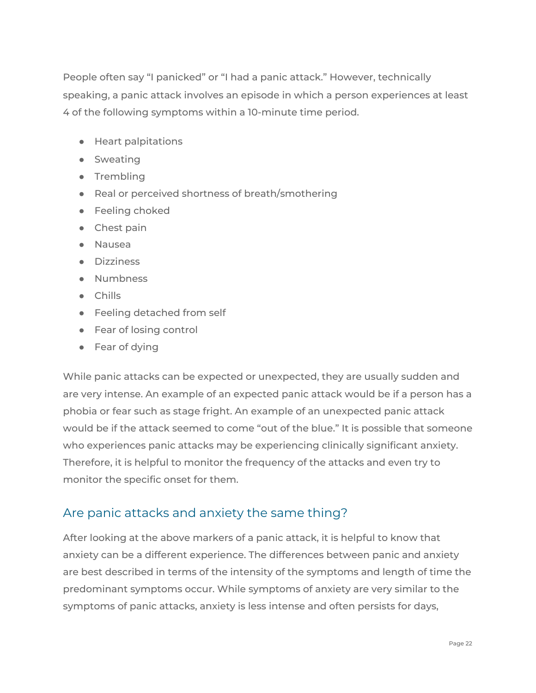People often say "I panicked" or "I had a panic attack." However, technically speaking, a panic attack involves an episode in which a person experiences at least 4 of the following symptoms within a 10-minute time period.

- Heart palpitations
- Sweating
- Trembling
- Real or perceived shortness of breath/smothering
- Feeling choked
- Chest pain
- Nausea
- Dizziness
- Numbness
- Chills
- Feeling detached from self
- Fear of losing control
- Fear of dying

While panic attacks can be expected or unexpected, they are usually sudden and are very intense. An example of an expected panic attack would be if a person has a phobia or fear such as stage fright. An example of an unexpected panic attack would be if the attack seemed to come "out of the blue." It is possible that someone who experiences panic attacks may be experiencing clinically significant anxiety. Therefore, it is helpful to monitor the frequency of the attacks and even try to monitor the specific onset for them.

## <span id="page-21-0"></span>Are panic attacks and anxiety the same thing?

After looking at the above markers of a panic attack, it is helpful to know that anxiety can be a different experience. The differences between panic and anxiety are best described in terms of the intensity of the symptoms and length of time the predominant symptoms occur. While symptoms of anxiety are very similar to the symptoms of panic attacks, anxiety is less intense and often persists for days,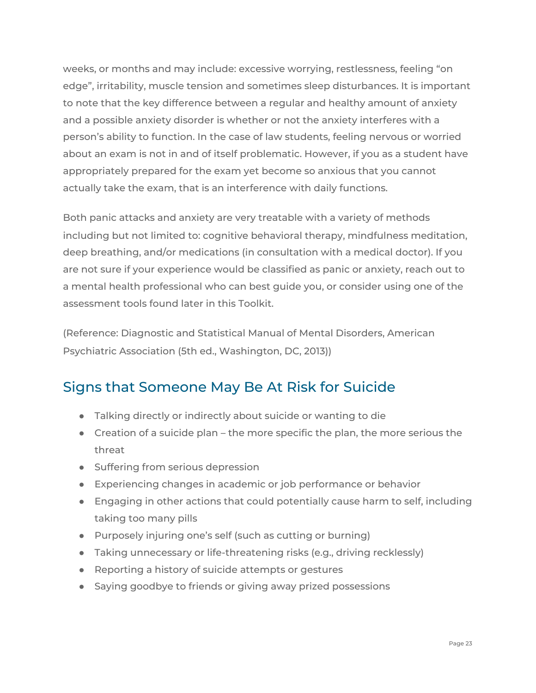weeks, or months and may include: excessive worrying, restlessness, feeling "on edge", irritability, muscle tension and sometimes sleep disturbances. It is important to note that the key difference between a regular and healthy amount of anxiety and a possible anxiety disorder is whether or not the anxiety interferes with a person's ability to function. In the case of law students, feeling nervous or worried about an exam is not in and of itself problematic. However, if you as a student have appropriately prepared for the exam yet become so anxious that you cannot actually take the exam, that is an interference with daily functions.

Both panic attacks and anxiety are very treatable with a variety of methods including but not limited to: cognitive behavioral therapy, mindfulness meditation, deep breathing, and/or medications (in consultation with a medical doctor). If you are not sure if your experience would be classified as panic or anxiety, reach out to a mental health professional who can best guide you, or consider using one of the assessment tools found later in this Toolkit.

(Reference: Diagnostic and Statistical Manual of Mental Disorders, American Psychiatric Association (5th ed., Washington, DC, 2013))

## <span id="page-22-0"></span>Signs that Someone May Be At Risk for Suicide

- Talking directly or indirectly about suicide or wanting to die
- Creation of a suicide plan the more specific the plan, the more serious the threat
- Suffering from serious depression
- Experiencing changes in academic or job performance or behavior
- Engaging in other actions that could potentially cause harm to self, including taking too many pills
- Purposely injuring one's self (such as cutting or burning)
- Taking unnecessary or life-threatening risks (e.g., driving recklessly)
- Reporting a history of suicide attempts or gestures
- Saying goodbye to friends or giving away prized possessions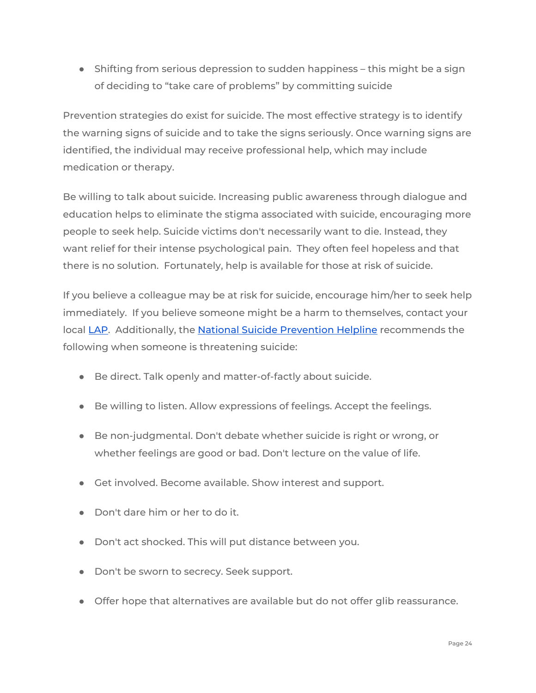● Shifting from serious depression to sudden happiness – this might be a sign of deciding to "take care of problems" by committing suicide

Prevention strategies do exist for suicide. The most effective strategy is to identify the warning signs of suicide and to take the signs seriously. Once warning signs are identified, the individual may receive professional help, which may include medication or therapy.

Be willing to talk about suicide. Increasing public awareness through dialogue and education helps to eliminate the stigma associated with suicide, encouraging more people to seek help. Suicide victims don't necessarily want to die. Instead, they want relief for their intense psychological pain. They often feel hopeless and that there is no solution. Fortunately, help is available for those at risk of suicide.

If you believe a colleague may be at risk for suicide, encourage him/her to seek help immediately. If you believe someone might be a harm to themselves, contact your local [LAP.](https://www.americanbar.org/groups/lawyer_assistance/resources/lap_programs_by_state.html) Additionally, the National Suicide [Prevention](http://www.suicidepreventionlifeline.org/) Helpline recommends the following when someone is threatening suicide:

- Be direct. Talk openly and matter-of-factly about suicide.
- Be willing to listen. Allow expressions of feelings. Accept the feelings.
- Be non-judgmental. Don't debate whether suicide is right or wrong, or whether feelings are good or bad. Don't lecture on the value of life.
- Get involved. Become available. Show interest and support.
- Don't dare him or her to do it.
- Don't act shocked. This will put distance between you.
- Don't be sworn to secrecy. Seek support.
- Offer hope that alternatives are available but do not offer glib reassurance.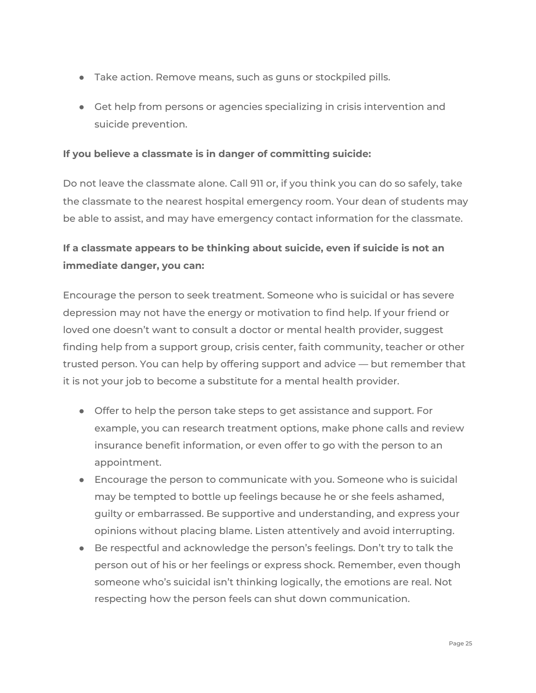- Take action. Remove means, such as guns or stockpiled pills.
- Get help from persons or agencies specializing in crisis intervention and suicide prevention.

#### **If you believe a classmate is in danger of committing suicide:**

Do not leave the classmate alone. Call 911 or, if you think you can do so safely, take the classmate to the nearest hospital emergency room. Your dean of students may be able to assist, and may have emergency contact information for the classmate.

## **If a classmate appears to be thinking about suicide, even if suicide is not an immediate danger, you can:**

Encourage the person to seek treatment. Someone who is suicidal or has severe depression may not have the energy or motivation to find help. If your friend or loved one doesn't want to consult a doctor or mental health provider, suggest finding help from a support group, crisis center, faith community, teacher or other trusted person. You can help by offering support and advice — but remember that it is not your job to become a substitute for a mental health provider.

- Offer to help the person take steps to get assistance and support. For example, you can research treatment options, make phone calls and review insurance benefit information, or even offer to go with the person to an appointment.
- Encourage the person to communicate with you. Someone who is suicidal may be tempted to bottle up feelings because he or she feels ashamed, guilty or embarrassed. Be supportive and understanding, and express your opinions without placing blame. Listen attentively and avoid interrupting.
- Be respectful and acknowledge the person's feelings. Don't try to talk the person out of his or her feelings or express shock. Remember, even though someone who's suicidal isn't thinking logically, the emotions are real. Not respecting how the person feels can shut down communication.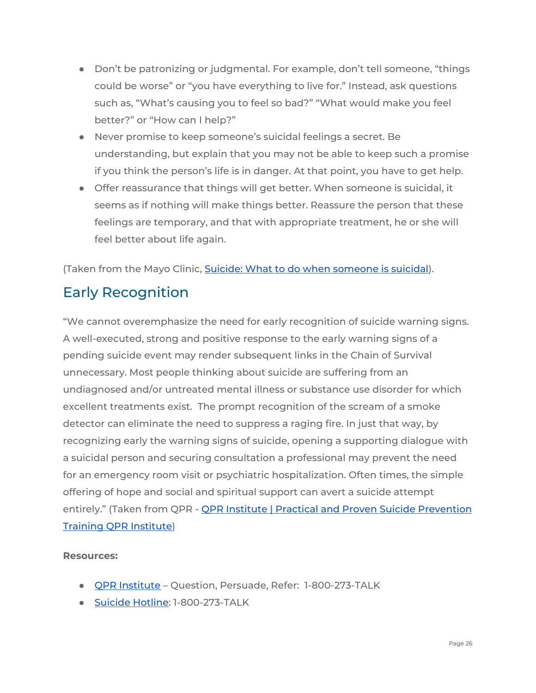- Don't be patronizing or judgmental. For example, don't tell someone, "things could be worse" or "you have everything to live for." Instead, ask questions such as, "What's causing you to feel so bad?" "What would make you feel better?" or "How can I help?"
- Never promise to keep someone's suicidal feelings a secret. Be understanding, but explain that you may not be able to keep such a promise if you think the person's life is in danger. At that point, you have to get help.
- Offer reassurance that things will get better. When someone is suicidal, it seems as if nothing will make things better. Reassure the person that these feelings are temporary, and that with appropriate treatment, he or she will feel better about life again.

(Taken from the Mayo Clinic, Suicide: What to do when [someone](http://www.mayoclinic.org/diseases-conditions/suicide/in-depth/suicide/art-20044707) is suicidal).

## <span id="page-25-0"></span>Early Recognition

"We cannot overemphasize the need for early recognition of suicide warning signs. A well-executed, strong and positive response to the early warning signs of a pending suicide event may render subsequent links in the Chain of Survival unnecessary. Most people thinking about suicide are suffering from an undiagnosed and/or untreated mental illness or substance use disorder for which excellent treatments exist. The prompt recognition of the scream of a smoke detector can eliminate the need to suppress a raging fire. In just that way, by recognizing early the warning signs of suicide, opening a supporting dialogue with a suicidal person and securing consultation a professional may prevent the need for an emergency room visit or psychiatric hospitalization. Often times, the simple offering of hope and social and spiritual support can avert a suicide attempt entirely." (Taken from QPR - QPR Institute | Practical and Proven Suicide [Prevention](https://qprinstitute.com/) Training QPR [Institute](https://qprinstitute.com/))

#### **Resources:**

- QPR [Institute](https://qprinstitute.com/) Question, Persuade, Refer: 1-800-273-TALK
- Suicide [Hotline:](http://www.suicidepreventionlifeline.org/;) 1-800-273-TALK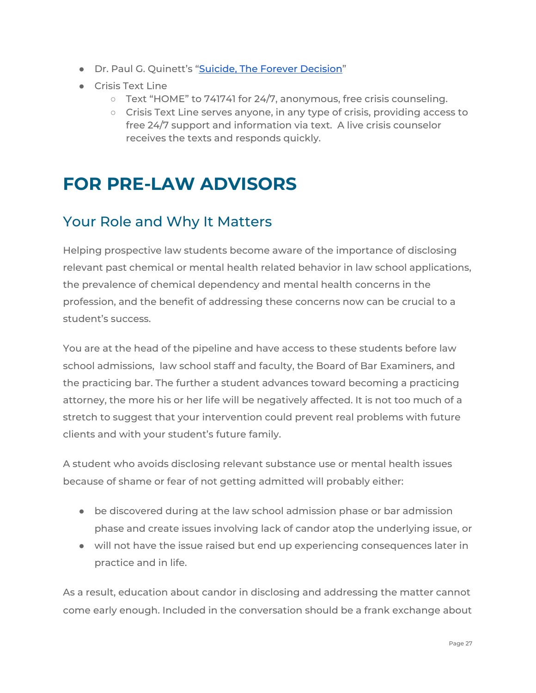- Dr. Paul G. Quinett's "Suicide, The Forever [Decision"](http://www.qprinstitute.com/forever.html)
- Crisis Text Line
	- $\circ$  Text "HOME" to 741741 for 24/7, anonymous, free crisis counseling.
	- Crisis Text Line serves anyone, in any type of crisis, providing access to free 24/7 support and information via text. A live crisis counselor receives the texts and responds quickly.

# <span id="page-26-0"></span>**FOR PRE-LAW ADVISORS**

## <span id="page-26-1"></span>Your Role and Why It Matters

Helping prospective law students become aware of the importance of disclosing relevant past chemical or mental health related behavior in law school applications, the prevalence of chemical dependency and mental health concerns in the profession, and the benefit of addressing these concerns now can be crucial to a student's success.

You are at the head of the pipeline and have access to these students before law school admissions, law school staff and faculty, the Board of Bar Examiners, and the practicing bar. The further a student advances toward becoming a practicing attorney, the more his or her life will be negatively affected. It is not too much of a stretch to suggest that your intervention could prevent real problems with future clients and with your student's future family.

A student who avoids disclosing relevant substance use or mental health issues because of shame or fear of not getting admitted will probably either:

- be discovered during at the law school admission phase or bar admission phase and create issues involving lack of candor atop the underlying issue, or
- will not have the issue raised but end up experiencing consequences later in practice and in life.

As a result, education about candor in disclosing and addressing the matter cannot come early enough. Included in the conversation should be a frank exchange about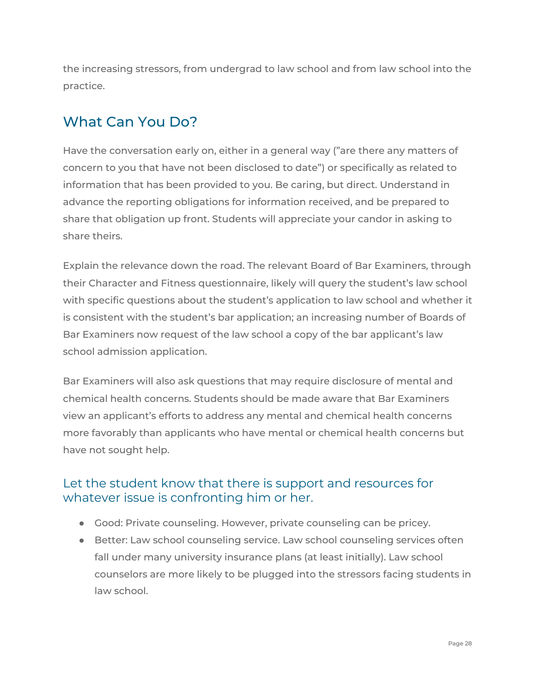the increasing stressors, from undergrad to law school and from law school into the practice.

## <span id="page-27-0"></span>What Can You Do?

Have the conversation early on, either in a general way ("are there any matters of concern to you that have not been disclosed to date") or specifically as related to information that has been provided to you. Be caring, but direct. Understand in advance the reporting obligations for information received, and be prepared to share that obligation up front. Students will appreciate your candor in asking to share theirs.

Explain the relevance down the road. The relevant Board of Bar Examiners, through their Character and Fitness questionnaire, likely will query the student's law school with specific questions about the student's application to law school and whether it is consistent with the student's bar application; an increasing number of Boards of Bar Examiners now request of the law school a copy of the bar applicant's law school admission application.

Bar Examiners will also ask questions that may require disclosure of mental and chemical health concerns. Students should be made aware that Bar Examiners view an applicant's efforts to address any mental and chemical health concerns more favorably than applicants who have mental or chemical health concerns but have not sought help.

## <span id="page-27-1"></span>Let the student know that there is support and resources for whatever issue is confronting him or her.

- Good: Private counseling. However, private counseling can be pricey.
- Better: Law school counseling service. Law school counseling services often fall under many university insurance plans (at least initially). Law school counselors are more likely to be plugged into the stressors facing students in law school.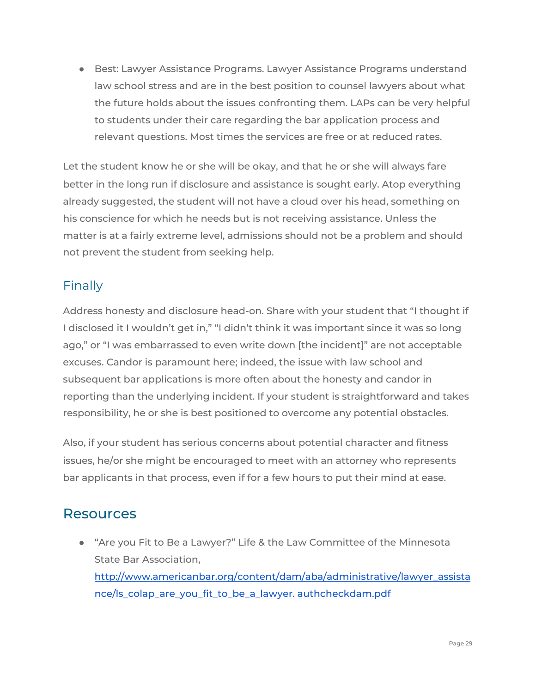● Best: Lawyer Assistance Programs. Lawyer Assistance Programs understand law school stress and are in the best position to counsel lawyers about what the future holds about the issues confronting them. LAPs can be very helpful to students under their care regarding the bar application process and relevant questions. Most times the services are free or at reduced rates.

Let the student know he or she will be okay, and that he or she will always fare better in the long run if disclosure and assistance is sought early. Atop everything already suggested, the student will not have a cloud over his head, something on his conscience for which he needs but is not receiving assistance. Unless the matter is at a fairly extreme level, admissions should not be a problem and should not prevent the student from seeking help.

## <span id="page-28-0"></span>Finally

Address honesty and disclosure head-on. Share with your student that "I thought if I disclosed it I wouldn't get in," "I didn't think it was important since it was so long ago," or "I was embarrassed to even write down [the incident]" are not acceptable excuses. Candor is paramount here; indeed, the issue with law school and subsequent bar applications is more often about the honesty and candor in reporting than the underlying incident. If your student is straightforward and takes responsibility, he or she is best positioned to overcome any potential obstacles.

Also, if your student has serious concerns about potential character and fitness issues, he/or she might be encouraged to meet with an attorney who represents bar applicants in that process, even if for a few hours to put their mind at ease.

## <span id="page-28-1"></span>Resources

● "Are you Fit to Be a Lawyer?" Life & the Law Committee of the Minnesota State Bar Association, [http://www.americanbar.org/content/dam/aba/administrative/lawyer\\_assista](http://www.americanbar.org/content/dam/aba/administrative/lawyer_assistance/ls_colap_are_you_fit_to_be_a_lawyer.) nce/ls colap are you fit to be a lawyer. authcheckdam.pdf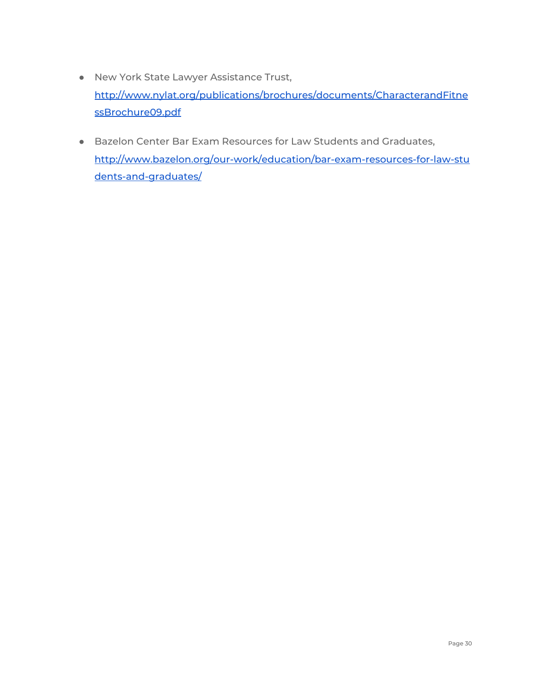- New York State Lawyer Assistance Trust, [http://www.nylat.org/publications/brochures/documents/CharacterandFitne](http://www.nylat.org/publications/brochures/documents/CharacterandFitnessBrochure09.pdf) [ssBrochure09.pdf](http://www.nylat.org/publications/brochures/documents/CharacterandFitnessBrochure09.pdf)
- Bazelon Center Bar Exam Resources for Law Students and Graduates, [http://www.bazelon.org/our-work/education/bar-exam-resources-for-law-stu](http://www.bazelon.org/our-work/education/bar-exam-resources-for-law-students-and-graduates/) [dents-and-graduates/](http://www.bazelon.org/our-work/education/bar-exam-resources-for-law-students-and-graduates/)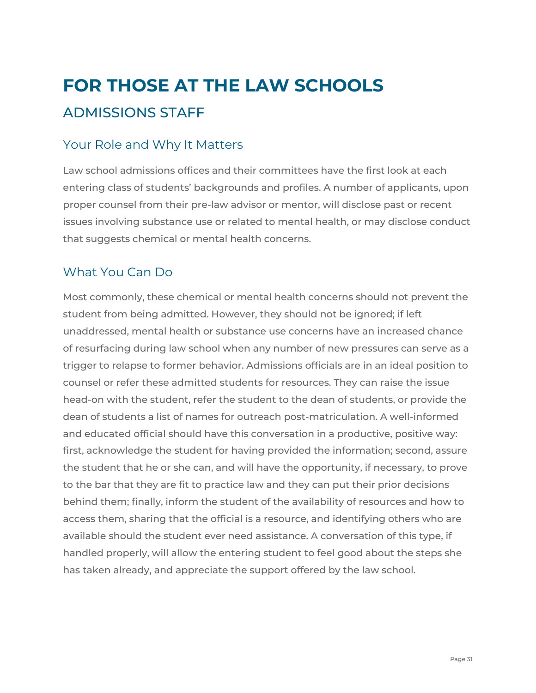# <span id="page-30-1"></span><span id="page-30-0"></span>**FOR THOSE AT THE LAW SCHOOLS** ADMISSIONS STAFF

## <span id="page-30-2"></span>Your Role and Why It Matters

Law school admissions offices and their committees have the first look at each entering class of students' backgrounds and profiles. A number of applicants, upon proper counsel from their pre-law advisor or mentor, will disclose past or recent issues involving substance use or related to mental health, or may disclose conduct that suggests chemical or mental health concerns.

## <span id="page-30-3"></span>What You Can Do

Most commonly, these chemical or mental health concerns should not prevent the student from being admitted. However, they should not be ignored; if left unaddressed, mental health or substance use concerns have an increased chance of resurfacing during law school when any number of new pressures can serve as a trigger to relapse to former behavior. Admissions officials are in an ideal position to counsel or refer these admitted students for resources. They can raise the issue head-on with the student, refer the student to the dean of students, or provide the dean of students a list of names for outreach post-matriculation. A well-informed and educated official should have this conversation in a productive, positive way: first, acknowledge the student for having provided the information; second, assure the student that he or she can, and will have the opportunity, if necessary, to prove to the bar that they are fit to practice law and they can put their prior decisions behind them; finally, inform the student of the availability of resources and how to access them, sharing that the official is a resource, and identifying others who are available should the student ever need assistance. A conversation of this type, if handled properly, will allow the entering student to feel good about the steps she has taken already, and appreciate the support offered by the law school.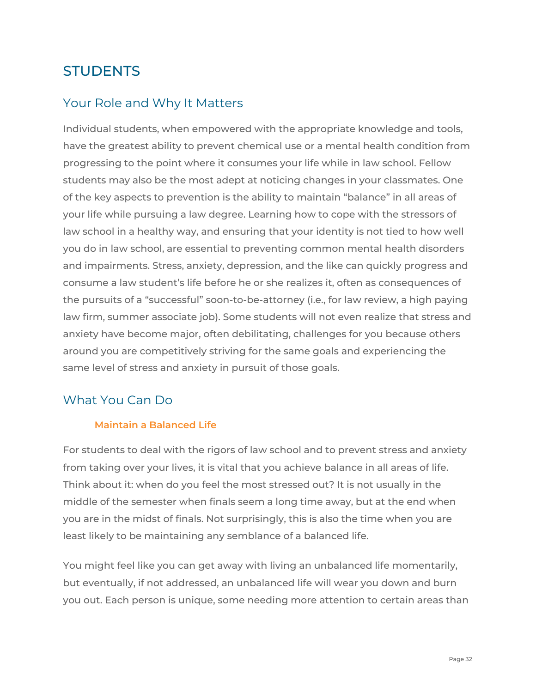## <span id="page-31-0"></span>**STUDENTS**

## <span id="page-31-1"></span>Your Role and Why It Matters

Individual students, when empowered with the appropriate knowledge and tools, have the greatest ability to prevent chemical use or a mental health condition from progressing to the point where it consumes your life while in law school. Fellow students may also be the most adept at noticing changes in your classmates. One of the key aspects to prevention is the ability to maintain "balance" in all areas of your life while pursuing a law degree. Learning how to cope with the stressors of law school in a healthy way, and ensuring that your identity is not tied to how well you do in law school, are essential to preventing common mental health disorders and impairments. Stress, anxiety, depression, and the like can quickly progress and consume a law student's life before he or she realizes it, often as consequences of the pursuits of a "successful" soon-to-be-attorney (i.e., for law review, a high paying law firm, summer associate job). Some students will not even realize that stress and anxiety have become major, often debilitating, challenges for you because others around you are competitively striving for the same goals and experiencing the same level of stress and anxiety in pursuit of those goals.

## <span id="page-31-3"></span><span id="page-31-2"></span>What You Can Do

#### **Maintain a Balanced Life**

For students to deal with the rigors of law school and to prevent stress and anxiety from taking over your lives, it is vital that you achieve balance in all areas of life. Think about it: when do you feel the most stressed out? It is not usually in the middle of the semester when finals seem a long time away, but at the end when you are in the midst of finals. Not surprisingly, this is also the time when you are least likely to be maintaining any semblance of a balanced life.

You might feel like you can get away with living an unbalanced life momentarily, but eventually, if not addressed, an unbalanced life will wear you down and burn you out. Each person is unique, some needing more attention to certain areas than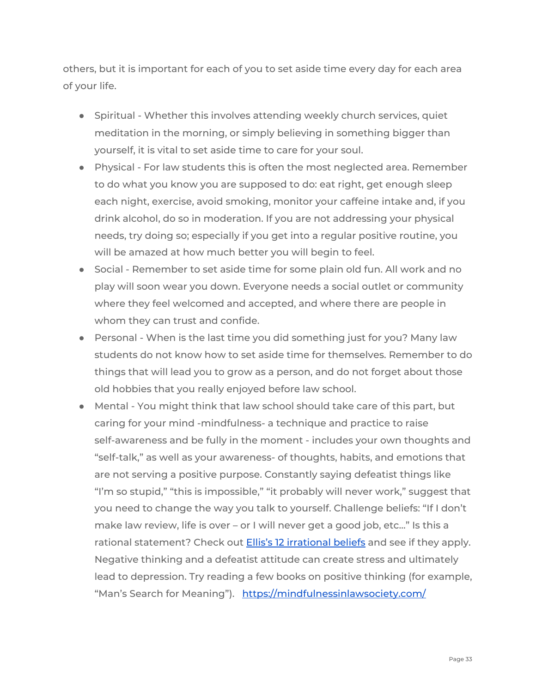others, but it is important for each of you to set aside time every day for each area of your life.

- Spiritual Whether this involves attending weekly church services, quiet meditation in the morning, or simply believing in something bigger than yourself, it is vital to set aside time to care for your soul.
- Physical For law students this is often the most neglected area. Remember to do what you know you are supposed to do: eat right, get enough sleep each night, exercise, avoid smoking, monitor your caffeine intake and, if you drink alcohol, do so in moderation. If you are not addressing your physical needs, try doing so; especially if you get into a regular positive routine, you will be amazed at how much better you will begin to feel.
- Social Remember to set aside time for some plain old fun. All work and no play will soon wear you down. Everyone needs a social outlet or community where they feel welcomed and accepted, and where there are people in whom they can trust and confide.
- Personal When is the last time you did something just for you? Many law students do not know how to set aside time for themselves. Remember to do things that will lead you to grow as a person, and do not forget about those old hobbies that you really enjoyed before law school.
- Mental You might think that law school should take care of this part, but caring for your mind -mindfulness- a technique and practice to raise self-awareness and be fully in the moment - includes your own thoughts and "self-talk," as well as your awareness- of thoughts, habits, and emotions that are not serving a positive purpose. Constantly saying defeatist things like "I'm so stupid," "this is impossible," "it probably will never work," suggest that you need to change the way you talk to yourself. Challenge beliefs: "If I don't make law review, life is over – or I will never get a good job, etc..." Is this a rational statement? Check out Ellis's 12 [irrational](http://changingminds.org/explanations/belief/irrational_beliefs.htm) beliefs and see if they apply. Negative thinking and a defeatist attitude can create stress and ultimately lead to depression. Try reading a few books on positive thinking (for example, "Man's Search for Meaning"). <https://mindfulnessinlawsociety.com/>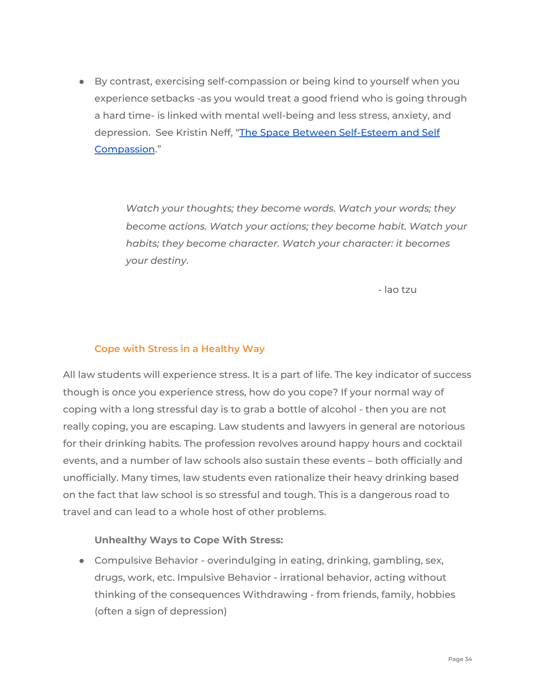● By contrast, exercising self-compassion or being kind to yourself when you experience setbacks -as you would treat a good friend who is going through a hard time- is linked with mental well-being and less stress, anxiety, and depression. See Kristin Neff, "The Space Between [Self-Esteem](https://www.youtube.com/watch?v=IvtZBUSplr4) and Self [Compassion](https://www.youtube.com/watch?v=IvtZBUSplr4).["](https://www.youtube.com/watch?v=IvtZBUSplr4)

> *Watch your thoughts; they become words. Watch your words; they become actions. Watch your actions; they become habit. Watch your habits; they become character. Watch your character: it becomes your destiny*.

> > - lao tzu

#### <span id="page-33-0"></span>**Cope with Stress in a Healthy Way**

All law students will experience stress. It is a part of life. The key indicator of success though is once you experience stress, how do you cope? If your normal way of coping with a long stressful day is to grab a bottle of alcohol - then you are not really coping, you are escaping. Law students and lawyers in general are notorious for their drinking habits. The profession revolves around happy hours and cocktail events, and a number of law schools also sustain these events – both officially and unofficially. Many times, law students even rationalize their heavy drinking based on the fact that law school is so stressful and tough. This is a dangerous road to travel and can lead to a whole host of other problems.

#### <span id="page-33-1"></span>**Unhealthy Ways to Cope With Stress:**

● Compulsive Behavior - overindulging in eating, drinking, gambling, sex, drugs, work, etc. Impulsive Behavior - irrational behavior, acting without thinking of the consequences Withdrawing - from friends, family, hobbies (often a sign of depression)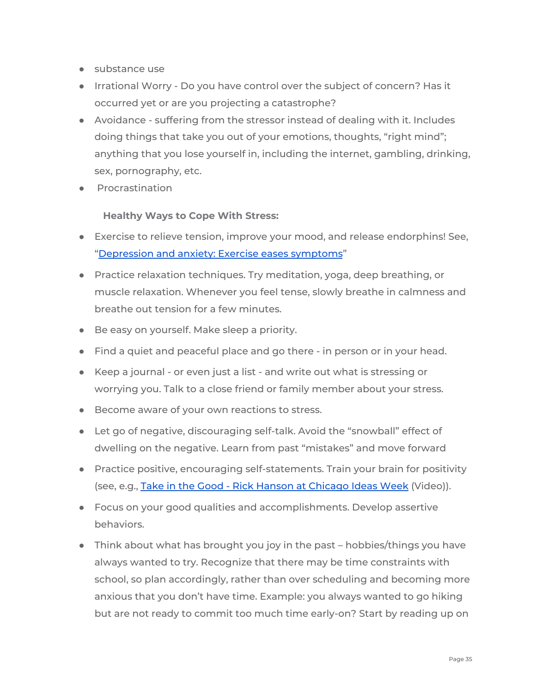- substance use
- Irrational Worry Do you have control over the subject of concern? Has it occurred yet or are you projecting a catastrophe?
- Avoidance suffering from the stressor instead of dealing with it. Includes doing things that take you out of your emotions, thoughts, "right mind"; anything that you lose yourself in, including the internet, gambling, drinking, sex, pornography, etc.
- <span id="page-34-0"></span>● Procrastination

#### **Healthy Ways to Cope With Stress:**

- Exercise to relieve tension, improve your mood, and release endorphins! See, ["Depression](http://www.mayoclinic.org/%20diseases-conditions/depression/in-depth/depression-and-exercise/art-20046495) and anxiety: Exercise eases symptoms"
- Practice relaxation techniques. Try meditation, yoga, deep breathing, or muscle relaxation. Whenever you feel tense, slowly breathe in calmness and breathe out tension for a few minutes.
- Be easy on yourself. Make sleep a priority.
- Find a quiet and peaceful place and go there in person or in your head.
- Keep a journal or even just a list and write out what is stressing or worrying you. Talk to a close friend or family member about your stress.
- Become aware of your own reactions to stress.
- Let go of negative, discouraging self-talk. Avoid the "snowball" effect of dwelling on the negative. Learn from past "mistakes" and move forward
- Practice positive, encouraging self-statements. Train your brain for positivity (see, e.g., Take in the Good - Rick Hanson at [Chicago](http://www.youtube.com/watch?v=jA3EGx46r4Q) Ideas Week (Video)).
- Focus on your good qualities and accomplishments. Develop assertive behaviors.
- Think about what has brought you joy in the past hobbies/things you have always wanted to try. Recognize that there may be time constraints with school, so plan accordingly, rather than over scheduling and becoming more anxious that you don't have time. Example: you always wanted to go hiking but are not ready to commit too much time early-on? Start by reading up on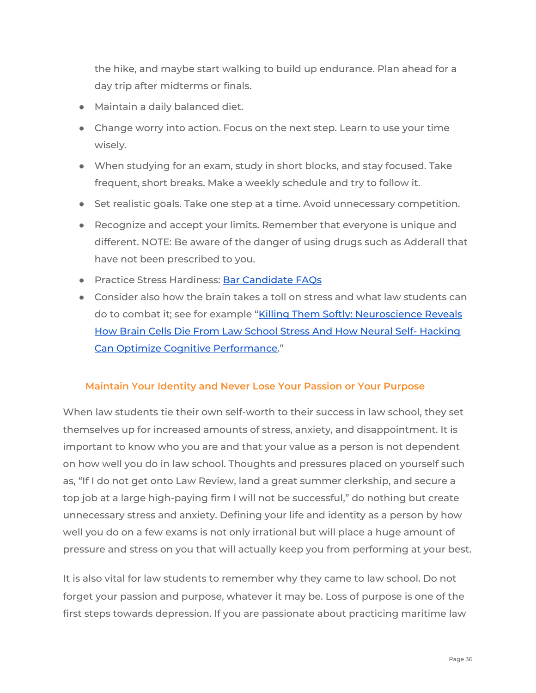the hike, and maybe start walking to build up endurance. Plan ahead for a day trip after midterms or finals.

- Maintain a daily balanced diet.
- Change worry into action. Focus on the next step. Learn to use your time wisely.
- When studying for an exam, study in short blocks, and stay focused. Take frequent, short breaks. Make a weekly schedule and try to follow it.
- Set realistic goals. Take one step at a time. Avoid unnecessary competition.
- Recognize and accept your limits. Remember that everyone is unique and different. NOTE: Be aware of the danger of using drugs such as Adderall that have not been prescribed to you.
- Practice Stress Hardiness: Bar [Candidate](http://www.njlap.org/AboutStress/StressHardinessfullarticle/tabid/83/Default.aspx) FAOs
- Consider also how the brain takes a toll on stress and what law students can do to combat it; see for example "Killing Them Softly: [Neuroscience](https://papers.ssrn.com/sol3/papers.cfm?abstract_id=2227155) Reveals How Brain Cells Die From Law School Stress And How Neural Self- [Hacking](https://papers.ssrn.com/sol3/papers.cfm?abstract_id=2227155) Can Optimize Cognitive [Performance](https://papers.ssrn.com/sol3/papers.cfm?abstract_id=2227155)."

#### <span id="page-35-0"></span>**Maintain Your Identity and Never Lose Your Passion or Your Purpose**

When law students tie their own self-worth to their success in law school, they set themselves up for increased amounts of stress, anxiety, and disappointment. It is important to know who you are and that your value as a person is not dependent on how well you do in law school. Thoughts and pressures placed on yourself such as, "If I do not get onto Law Review, land a great summer clerkship, and secure a top job at a large high-paying firm I will not be successful," do nothing but create unnecessary stress and anxiety. Defining your life and identity as a person by how well you do on a few exams is not only irrational but will place a huge amount of pressure and stress on you that will actually keep you from performing at your best.

It is also vital for law students to remember why they came to law school. Do not forget your passion and purpose, whatever it may be. Loss of purpose is one of the first steps towards depression. If you are passionate about practicing maritime law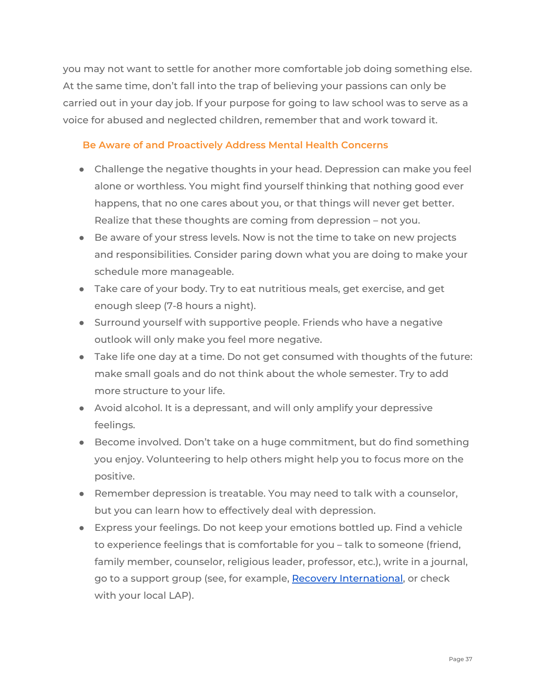you may not want to settle for another more comfortable job doing something else. At the same time, don't fall into the trap of believing your passions can only be carried out in your day job. If your purpose for going to law school was to serve as a voice for abused and neglected children, remember that and work toward it.

#### <span id="page-36-0"></span>**Be Aware of and Proactively Address Mental Health Concerns**

- Challenge the negative thoughts in your head. Depression can make you feel alone or worthless. You might find yourself thinking that nothing good ever happens, that no one cares about you, or that things will never get better. Realize that these thoughts are coming from depression – not you.
- Be aware of your stress levels. Now is not the time to take on new projects and responsibilities. Consider paring down what you are doing to make your schedule more manageable.
- Take care of your body. Try to eat nutritious meals, get exercise, and get enough sleep (7-8 hours a night).
- Surround yourself with supportive people. Friends who have a negative outlook will only make you feel more negative.
- Take life one day at a time. Do not get consumed with thoughts of the future: make small goals and do not think about the whole semester. Try to add more structure to your life.
- Avoid alcohol. It is a depressant, and will only amplify your depressive feelings.
- Become involved. Don't take on a huge commitment, but do find something you enjoy. Volunteering to help others might help you to focus more on the positive.
- Remember depression is treatable. You may need to talk with a counselor, but you can learn how to effectively deal with depression.
- Express your feelings. Do not keep your emotions bottled up. Find a vehicle to experience feelings that is comfortable for you – talk to someone (friend, family member, counselor, religious leader, professor, etc.), write in a journal, go to a support group (see, for example, Recovery [International](https://www.lowselfhelpsystems.org/), or check with your local LAP).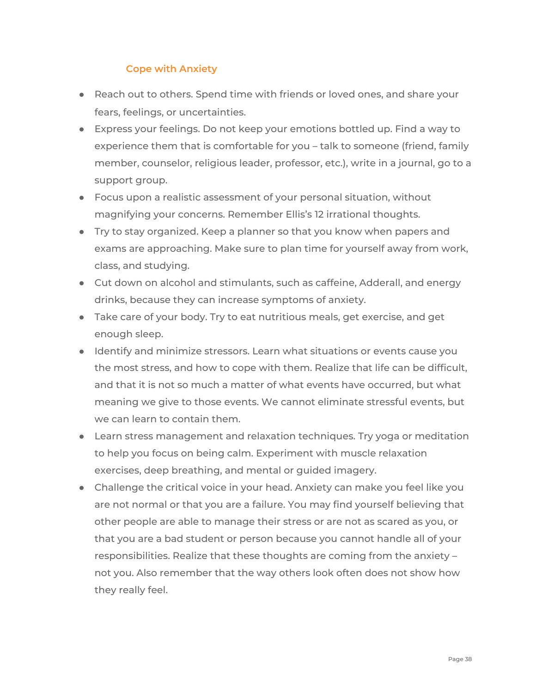#### **Cope with Anxiety**

- <span id="page-37-0"></span>● Reach out to others. Spend time with friends or loved ones, and share your fears, feelings, or uncertainties.
- Express your feelings. Do not keep your emotions bottled up. Find a way to experience them that is comfortable for you – talk to someone (friend, family member, counselor, religious leader, professor, etc.), write in a journal, go to a support group.
- Focus upon a realistic assessment of your personal situation, without magnifying your concerns. Remember Ellis's 12 irrational thoughts.
- Try to stay organized. Keep a planner so that you know when papers and exams are approaching. Make sure to plan time for yourself away from work, class, and studying.
- Cut down on alcohol and stimulants, such as caffeine, Adderall, and energy drinks, because they can increase symptoms of anxiety.
- Take care of your body. Try to eat nutritious meals, get exercise, and get enough sleep.
- Identify and minimize stressors. Learn what situations or events cause you the most stress, and how to cope with them. Realize that life can be difficult, and that it is not so much a matter of what events have occurred, but what meaning we give to those events. We cannot eliminate stressful events, but we can learn to contain them.
- Learn stress management and relaxation techniques. Try yoga or meditation to help you focus on being calm. Experiment with muscle relaxation exercises, deep breathing, and mental or guided imagery.
- Challenge the critical voice in your head. Anxiety can make you feel like you are not normal or that you are a failure. You may find yourself believing that other people are able to manage their stress or are not as scared as you, or that you are a bad student or person because you cannot handle all of your responsibilities. Realize that these thoughts are coming from the anxiety – not you. Also remember that the way others look often does not show how they really feel.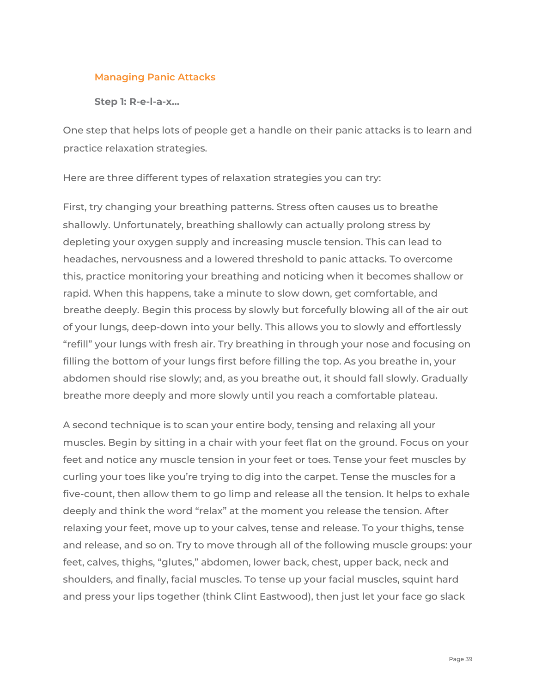#### <span id="page-38-0"></span>**Managing Panic Attacks**

<span id="page-38-1"></span>**Step 1: R-e-l-a-x...**

One step that helps lots of people get a handle on their panic attacks is to learn and practice relaxation strategies.

Here are three different types of relaxation strategies you can try:

First, try changing your breathing patterns. Stress often causes us to breathe shallowly. Unfortunately, breathing shallowly can actually prolong stress by depleting your oxygen supply and increasing muscle tension. This can lead to headaches, nervousness and a lowered threshold to panic attacks. To overcome this, practice monitoring your breathing and noticing when it becomes shallow or rapid. When this happens, take a minute to slow down, get comfortable, and breathe deeply. Begin this process by slowly but forcefully blowing all of the air out of your lungs, deep-down into your belly. This allows you to slowly and effortlessly "refill" your lungs with fresh air. Try breathing in through your nose and focusing on filling the bottom of your lungs first before filling the top. As you breathe in, your abdomen should rise slowly; and, as you breathe out, it should fall slowly. Gradually breathe more deeply and more slowly until you reach a comfortable plateau.

A second technique is to scan your entire body, tensing and relaxing all your muscles. Begin by sitting in a chair with your feet flat on the ground. Focus on your feet and notice any muscle tension in your feet or toes. Tense your feet muscles by curling your toes like you're trying to dig into the carpet. Tense the muscles for a five-count, then allow them to go limp and release all the tension. It helps to exhale deeply and think the word "relax" at the moment you release the tension. After relaxing your feet, move up to your calves, tense and release. To your thighs, tense and release, and so on. Try to move through all of the following muscle groups: your feet, calves, thighs, "glutes," abdomen, lower back, chest, upper back, neck and shoulders, and finally, facial muscles. To tense up your facial muscles, squint hard and press your lips together (think Clint Eastwood), then just let your face go slack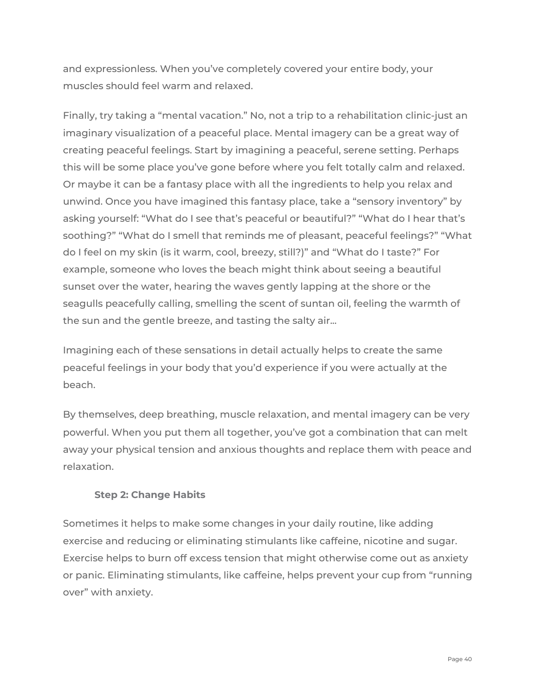and expressionless. When you've completely covered your entire body, your muscles should feel warm and relaxed.

Finally, try taking a "mental vacation." No, not a trip to a rehabilitation clinic-just an imaginary visualization of a peaceful place. Mental imagery can be a great way of creating peaceful feelings. Start by imagining a peaceful, serene setting. Perhaps this will be some place you've gone before where you felt totally calm and relaxed. Or maybe it can be a fantasy place with all the ingredients to help you relax and unwind. Once you have imagined this fantasy place, take a "sensory inventory" by asking yourself: "What do I see that's peaceful or beautiful?" "What do I hear that's soothing?" "What do I smell that reminds me of pleasant, peaceful feelings?" "What do I feel on my skin (is it warm, cool, breezy, still?)" and "What do I taste?" For example, someone who loves the beach might think about seeing a beautiful sunset over the water, hearing the waves gently lapping at the shore or the seagulls peacefully calling, smelling the scent of suntan oil, feeling the warmth of the sun and the gentle breeze, and tasting the salty air...

Imagining each of these sensations in detail actually helps to create the same peaceful feelings in your body that you'd experience if you were actually at the beach.

By themselves, deep breathing, muscle relaxation, and mental imagery can be very powerful. When you put them all together, you've got a combination that can melt away your physical tension and anxious thoughts and replace them with peace and relaxation.

#### <span id="page-39-0"></span>**Step 2: Change Habits**

Sometimes it helps to make some changes in your daily routine, like adding exercise and reducing or eliminating stimulants like caffeine, nicotine and sugar. Exercise helps to burn off excess tension that might otherwise come out as anxiety or panic. Eliminating stimulants, like caffeine, helps prevent your cup from "running over" with anxiety.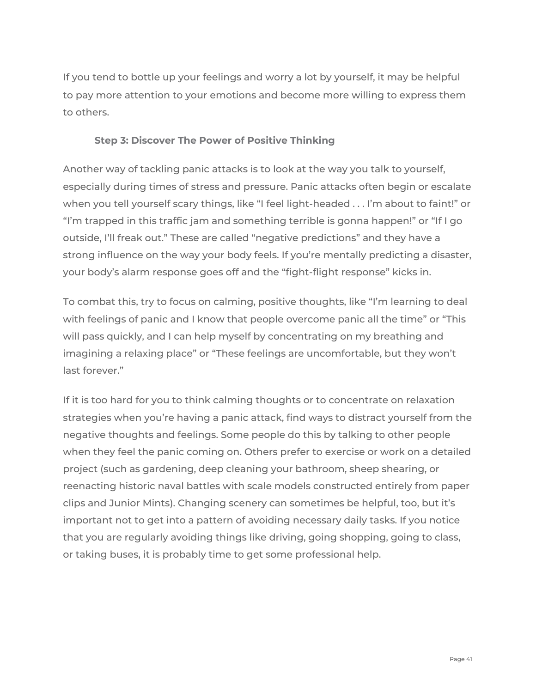If you tend to bottle up your feelings and worry a lot by yourself, it may be helpful to pay more attention to your emotions and become more willing to express them to others.

#### <span id="page-40-0"></span>**Step 3: Discover The Power of Positive Thinking**

Another way of tackling panic attacks is to look at the way you talk to yourself, especially during times of stress and pressure. Panic attacks often begin or escalate when you tell yourself scary things, like "I feel light-headed . . . I'm about to faint!" or "I'm trapped in this traffic jam and something terrible is gonna happen!" or "If I go outside, I'll freak out." These are called "negative predictions" and they have a strong influence on the way your body feels. If you're mentally predicting a disaster, your body's alarm response goes off and the "fight-flight response" kicks in.

To combat this, try to focus on calming, positive thoughts, like "I'm learning to deal with feelings of panic and I know that people overcome panic all the time" or "This will pass quickly, and I can help myself by concentrating on my breathing and imagining a relaxing place" or "These feelings are uncomfortable, but they won't last forever."

If it is too hard for you to think calming thoughts or to concentrate on relaxation strategies when you're having a panic attack, find ways to distract yourself from the negative thoughts and feelings. Some people do this by talking to other people when they feel the panic coming on. Others prefer to exercise or work on a detailed project (such as gardening, deep cleaning your bathroom, sheep shearing, or reenacting historic naval battles with scale models constructed entirely from paper clips and Junior Mints). Changing scenery can sometimes be helpful, too, but it's important not to get into a pattern of avoiding necessary daily tasks. If you notice that you are regularly avoiding things like driving, going shopping, going to class, or taking buses, it is probably time to get some professional help.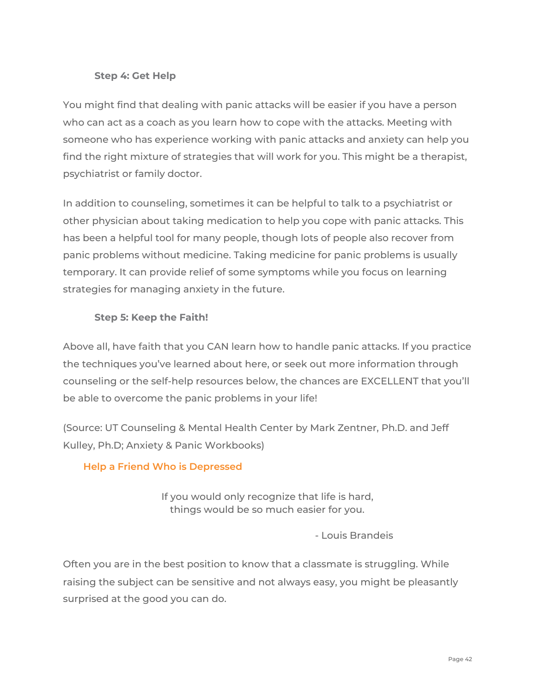#### <span id="page-41-0"></span>**Step 4: Get Help**

You might find that dealing with panic attacks will be easier if you have a person who can act as a coach as you learn how to cope with the attacks. Meeting with someone who has experience working with panic attacks and anxiety can help you find the right mixture of strategies that will work for you. This might be a therapist, psychiatrist or family doctor.

In addition to counseling, sometimes it can be helpful to talk to a psychiatrist or other physician about taking medication to help you cope with panic attacks. This has been a helpful tool for many people, though lots of people also recover from panic problems without medicine. Taking medicine for panic problems is usually temporary. It can provide relief of some symptoms while you focus on learning strategies for managing anxiety in the future.

#### <span id="page-41-1"></span>**Step 5: Keep the Faith!**

Above all, have faith that you CAN learn how to handle panic attacks. If you practice the techniques you've learned about here, or seek out more information through counseling or the self-help resources below, the chances are EXCELLENT that you'll be able to overcome the panic problems in your life!

(Source: UT Counseling & Mental Health Center by Mark Zentner, Ph.D. and Jeff Kulley, Ph.D; Anxiety & Panic Workbooks)

#### <span id="page-41-2"></span>**Help a Friend Who is Depressed**

If you would only recognize that life is hard, things would be so much easier for you.

- Louis Brandeis

Often you are in the best position to know that a classmate is struggling. While raising the subject can be sensitive and not always easy, you might be pleasantly surprised at the good you can do.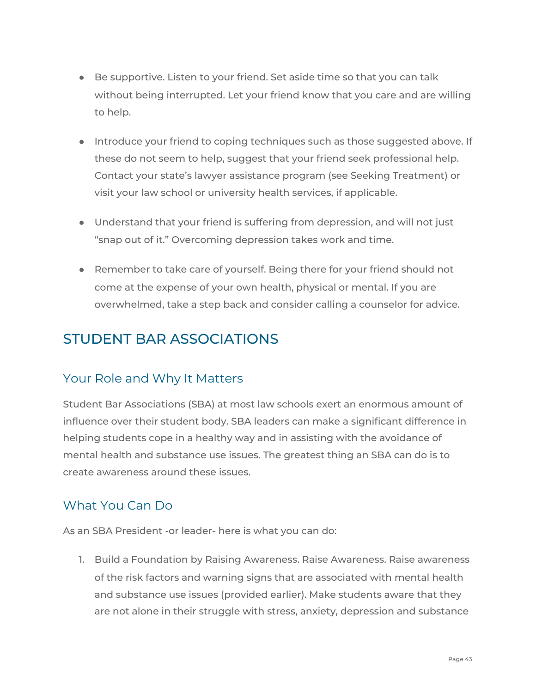- Be supportive. Listen to your friend. Set aside time so that you can talk without being interrupted. Let your friend know that you care and are willing to help.
- Introduce your friend to coping techniques such as those suggested above. If these do not seem to help, suggest that your friend seek professional help. Contact your state's lawyer assistance program (see Seeking Treatment) or visit your law school or university health services, if applicable.
- Understand that your friend is suffering from depression, and will not just "snap out of it." Overcoming depression takes work and time.
- Remember to take care of yourself. Being there for your friend should not come at the expense of your own health, physical or mental. If you are overwhelmed, take a step back and consider calling a counselor for advice.

## <span id="page-42-0"></span>STUDENT BAR ASSOCIATIONS

## <span id="page-42-1"></span>Your Role and Why It Matters

Student Bar Associations (SBA) at most law schools exert an enormous amount of influence over their student body. SBA leaders can make a significant difference in helping students cope in a healthy way and in assisting with the avoidance of mental health and substance use issues. The greatest thing an SBA can do is to create awareness around these issues.

## <span id="page-42-2"></span>What You Can Do

As an SBA President -or leader- here is what you can do:

1. Build a Foundation by Raising Awareness. Raise Awareness. Raise awareness of the risk factors and warning signs that are associated with mental health and substance use issues (provided earlier). Make students aware that they are not alone in their struggle with stress, anxiety, depression and substance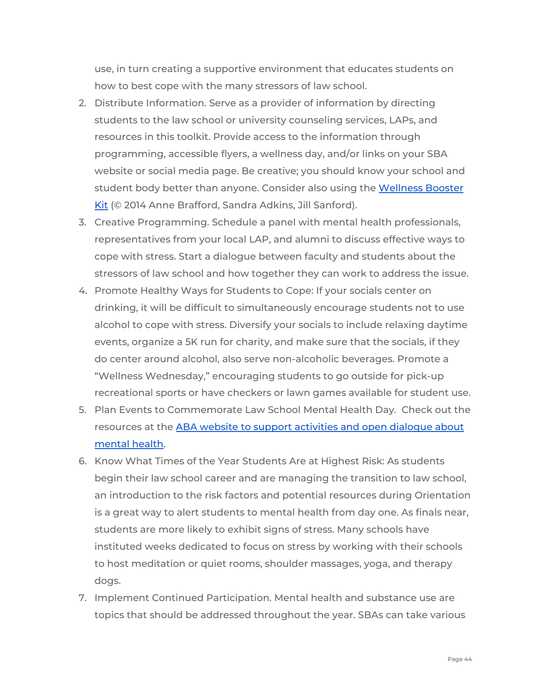use, in turn creating a supportive environment that educates students on how to best cope with the many stressors of law school.

- 2. Distribute Information. Serve as a provider of information by directing students to the law school or university counseling services, LAPs, and resources in this toolkit. Provide access to the information through programming, accessible flyers, a wellness day, and/or links on your SBA website or social media page. Be creative; you should know your school and student body better than anyone. Consider also using the [Wellness](https://www.americanbar.org/content/dam/aba/administrative/lawyer_assistance/ls_colap_wellness_booster_kit.authcheckdam.pdf) Booster [Kit](https://www.americanbar.org/content/dam/aba/administrative/lawyer_assistance/ls_colap_wellness_booster_kit.authcheckdam.pdf) (© 2014 Anne Brafford, Sandra Adkins, Jill Sanford).
- 3. Creative Programming. Schedule a panel with mental health professionals, representatives from your local LAP, and alumni to discuss effective ways to cope with stress. Start a dialogue between faculty and students about the stressors of law school and how together they can work to address the issue.
- 4. Promote Healthy Ways for Students to Cope: If your socials center on drinking, it will be difficult to simultaneously encourage students not to use alcohol to cope with stress. Diversify your socials to include relaxing daytime events, organize a 5K run for charity, and make sure that the socials, if they do center around alcohol, also serve non-alcoholic beverages. Promote a "Wellness Wednesday," encouraging students to go outside for pick-up recreational sports or have checkers or lawn games available for student use.
- 5. Plan Events to Commemorate Law School Mental Health Day. Check out the resources at the ABA website to support [activities](https://www.americanbar.org/groups/lawyer_assistance/events_cle/mental_health_day/) and open dialogue about [mental](https://www.americanbar.org/groups/lawyer_assistance/events_cle/mental_health_day/) health.
- 6. Know What Times of the Year Students Are at Highest Risk: As students begin their law school career and are managing the transition to law school, an introduction to the risk factors and potential resources during Orientation is a great way to alert students to mental health from day one. As finals near, students are more likely to exhibit signs of stress. Many schools have instituted weeks dedicated to focus on stress by working with their schools to host meditation or quiet rooms, shoulder massages, yoga, and therapy dogs.
- 7. Implement Continued Participation. Mental health and substance use are topics that should be addressed throughout the year. SBAs can take various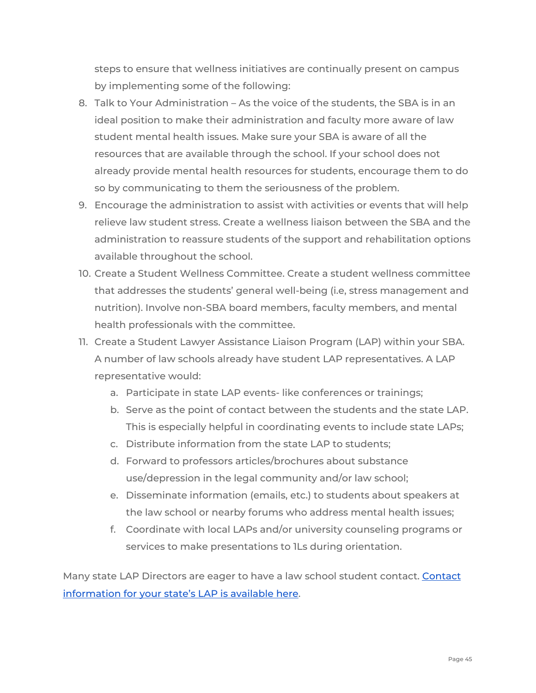steps to ensure that wellness initiatives are continually present on campus by implementing some of the following:

- 8. Talk to Your Administration As the voice of the students, the SBA is in an ideal position to make their administration and faculty more aware of law student mental health issues. Make sure your SBA is aware of all the resources that are available through the school. If your school does not already provide mental health resources for students, encourage them to do so by communicating to them the seriousness of the problem.
- 9. Encourage the administration to assist with activities or events that will help relieve law student stress. Create a wellness liaison between the SBA and the administration to reassure students of the support and rehabilitation options available throughout the school.
- 10. Create a Student Wellness Committee. Create a student wellness committee that addresses the students' general well-being (i.e, stress management and nutrition). Involve non-SBA board members, faculty members, and mental health professionals with the committee.
- 11. Create a Student Lawyer Assistance Liaison Program (LAP) within your SBA. A number of law schools already have student LAP representatives. A LAP representative would:
	- a. Participate in state LAP events- like conferences or trainings;
	- b. Serve as the point of contact between the students and the state LAP. This is especially helpful in coordinating events to include state LAPs;
	- c. Distribute information from the state LAP to students;
	- d. Forward to professors articles/brochures about substance use/depression in the legal community and/or law school;
	- e. Disseminate information (emails, etc.) to students about speakers at the law school or nearby forums who address mental health issues;
	- f. Coordinate with local LAPs and/or university counseling programs or services to make presentations to 1Ls during orientation.

Many state LAP Directors are eager to have a law school student contact. [Contact](https://www.americanbar.org/groups/lawyer_assistance/resources/lap_programs_by_state/) [information](https://www.americanbar.org/groups/lawyer_assistance/resources/lap_programs_by_state/) for your state's LAP is available here.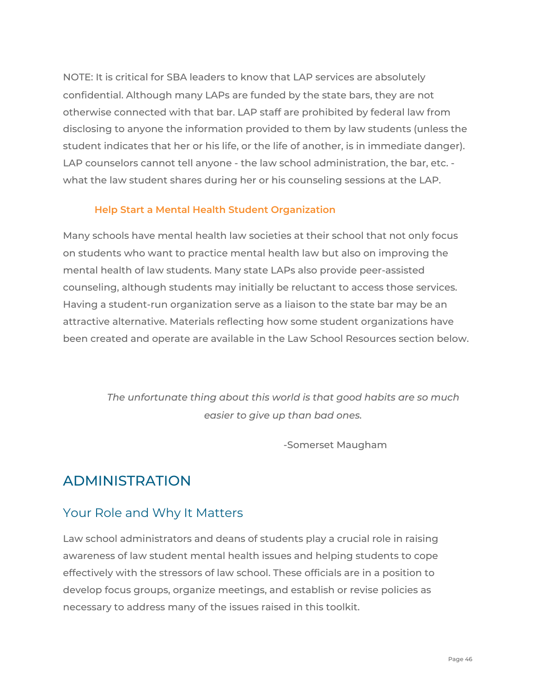NOTE: It is critical for SBA leaders to know that LAP services are absolutely confidential. Although many LAPs are funded by the state bars, they are not otherwise connected with that bar. LAP staff are prohibited by federal law from disclosing to anyone the information provided to them by law students (unless the student indicates that her or his life, or the life of another, is in immediate danger). LAP counselors cannot tell anyone - the law school administration, the bar, etc. what the law student shares during her or his counseling sessions at the LAP.

#### <span id="page-45-0"></span>**Help Start a Mental Health Student Organization**

Many schools have mental health law societies at their school that not only focus on students who want to practice mental health law but also on improving the mental health of law students. Many state LAPs also provide peer-assisted counseling, although students may initially be reluctant to access those services. Having a student-run organization serve as a liaison to the state bar may be an attractive alternative. Materials reflecting how some student organizations have been created and operate are available in the Law School Resources section below.

> *The unfortunate thing about this world is that good habits are so much easier to give up than bad ones.*

> > -Somerset Maugham

## <span id="page-45-1"></span>ADMINISTRATION

## <span id="page-45-2"></span>Your Role and Why It Matters

Law school administrators and deans of students play a crucial role in raising awareness of law student mental health issues and helping students to cope effectively with the stressors of law school. These officials are in a position to develop focus groups, organize meetings, and establish or revise policies as necessary to address many of the issues raised in this toolkit.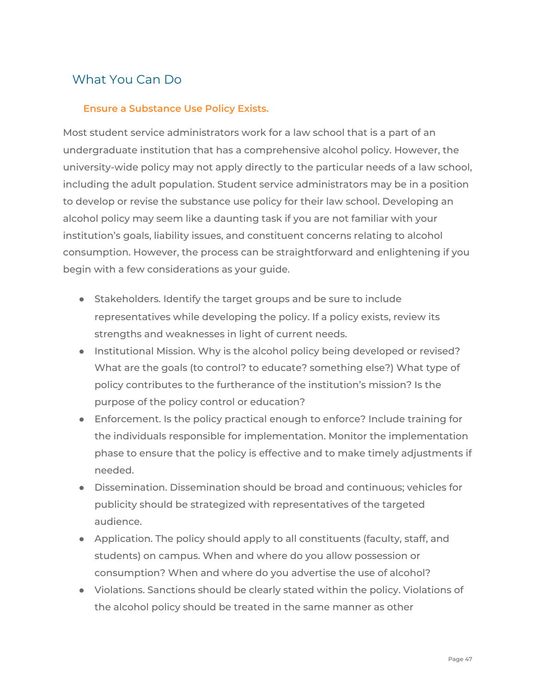## <span id="page-46-0"></span>What You Can Do

#### <span id="page-46-1"></span>**Ensure a Substance Use Policy Exists.**

Most student service administrators work for a law school that is a part of an undergraduate institution that has a comprehensive alcohol policy. However, the university-wide policy may not apply directly to the particular needs of a law school, including the adult population. Student service administrators may be in a position to develop or revise the substance use policy for their law school. Developing an alcohol policy may seem like a daunting task if you are not familiar with your institution's goals, liability issues, and constituent concerns relating to alcohol consumption. However, the process can be straightforward and enlightening if you begin with a few considerations as your guide.

- Stakeholders. Identify the target groups and be sure to include representatives while developing the policy. If a policy exists, review its strengths and weaknesses in light of current needs.
- Institutional Mission. Why is the alcohol policy being developed or revised? What are the goals (to control? to educate? something else?) What type of policy contributes to the furtherance of the institution's mission? Is the purpose of the policy control or education?
- Enforcement. Is the policy practical enough to enforce? Include training for the individuals responsible for implementation. Monitor the implementation phase to ensure that the policy is effective and to make timely adjustments if needed.
- Dissemination. Dissemination should be broad and continuous; vehicles for publicity should be strategized with representatives of the targeted audience.
- Application. The policy should apply to all constituents (faculty, staff, and students) on campus. When and where do you allow possession or consumption? When and where do you advertise the use of alcohol?
- Violations. Sanctions should be clearly stated within the policy. Violations of the alcohol policy should be treated in the same manner as other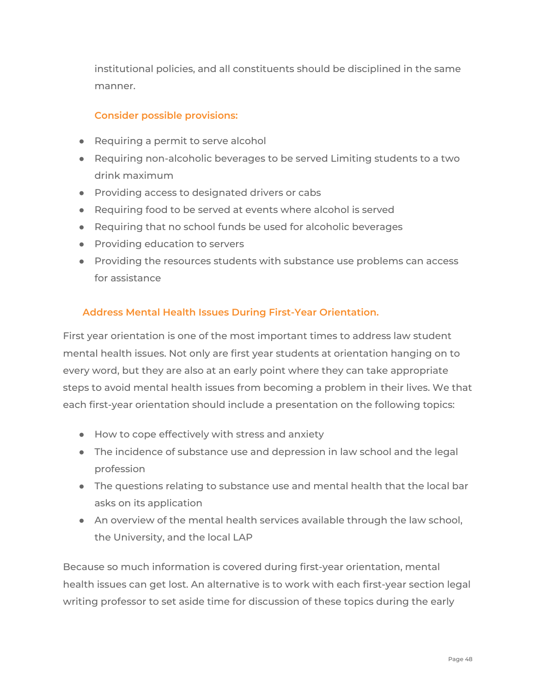institutional policies, and all constituents should be disciplined in the same manner.

#### <span id="page-47-0"></span>**Consider possible provisions:**

- Requiring a permit to serve alcohol
- Requiring non-alcoholic beverages to be served Limiting students to a two drink maximum
- Providing access to designated drivers or cabs
- Requiring food to be served at events where alcohol is served
- Requiring that no school funds be used for alcoholic beverages
- Providing education to servers
- Providing the resources students with substance use problems can access for assistance

#### <span id="page-47-1"></span>**Address Mental Health Issues During First-Year Orientation.**

First year orientation is one of the most important times to address law student mental health issues. Not only are first year students at orientation hanging on to every word, but they are also at an early point where they can take appropriate steps to avoid mental health issues from becoming a problem in their lives. We that each first-year orientation should include a presentation on the following topics:

- How to cope effectively with stress and anxiety
- The incidence of substance use and depression in law school and the legal profession
- The questions relating to substance use and mental health that the local bar asks on its application
- An overview of the mental health services available through the law school, the University, and the local LAP

Because so much information is covered during first-year orientation, mental health issues can get lost. An alternative is to work with each first-year section legal writing professor to set aside time for discussion of these topics during the early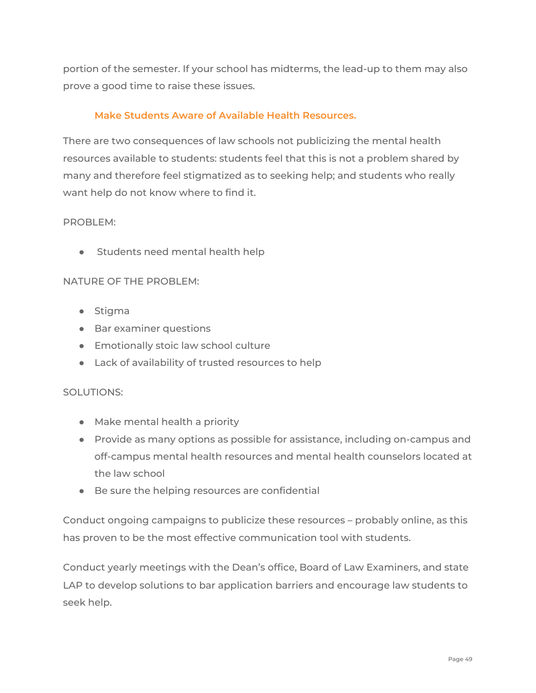portion of the semester. If your school has midterms, the lead-up to them may also prove a good time to raise these issues.

#### <span id="page-48-0"></span>**Make Students Aware of Available Health Resources.**

There are two consequences of law schools not publicizing the mental health resources available to students: students feel that this is not a problem shared by many and therefore feel stigmatized as to seeking help; and students who really want help do not know where to find it.

#### PROBLEM:

● Students need mental health help

#### NATURE OF THE PROBLEM:

- Stigma
- Bar examiner questions
- Emotionally stoic law school culture
- Lack of availability of trusted resources to help

#### SOLUTIONS:

- Make mental health a priority
- Provide as many options as possible for assistance, including on-campus and off-campus mental health resources and mental health counselors located at the law school
- Be sure the helping resources are confidential

Conduct ongoing campaigns to publicize these resources – probably online, as this has proven to be the most effective communication tool with students.

Conduct yearly meetings with the Dean's office, Board of Law Examiners, and state LAP to develop solutions to bar application barriers and encourage law students to seek help.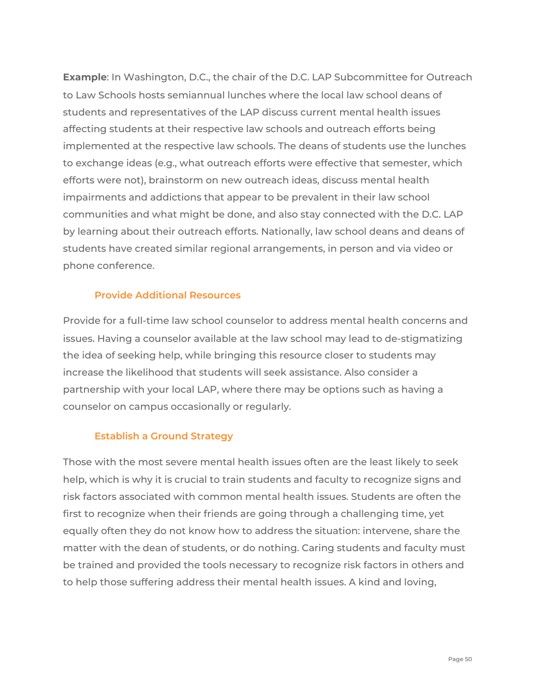**Example**: In Washington, D.C., the chair of the D.C. LAP Subcommittee for Outreach to Law Schools hosts semiannual lunches where the local law school deans of students and representatives of the LAP discuss current mental health issues affecting students at their respective law schools and outreach efforts being implemented at the respective law schools. The deans of students use the lunches to exchange ideas (e.g., what outreach efforts were effective that semester, which efforts were not), brainstorm on new outreach ideas, discuss mental health impairments and addictions that appear to be prevalent in their law school communities and what might be done, and also stay connected with the D.C. LAP by learning about their outreach efforts. Nationally, law school deans and deans of students have created similar regional arrangements, in person and via video or phone conference.

#### <span id="page-49-0"></span>**Provide Additional Resources**

Provide for a full-time law school counselor to address mental health concerns and issues. Having a counselor available at the law school may lead to de-stigmatizing the idea of seeking help, while bringing this resource closer to students may increase the likelihood that students will seek assistance. Also consider a partnership with your local LAP, where there may be options such as having a counselor on campus occasionally or regularly.

#### <span id="page-49-1"></span>**Establish a Ground Strategy**

Those with the most severe mental health issues often are the least likely to seek help, which is why it is crucial to train students and faculty to recognize signs and risk factors associated with common mental health issues. Students are often the first to recognize when their friends are going through a challenging time, yet equally often they do not know how to address the situation: intervene, share the matter with the dean of students, or do nothing. Caring students and faculty must be trained and provided the tools necessary to recognize risk factors in others and to help those suffering address their mental health issues. A kind and loving,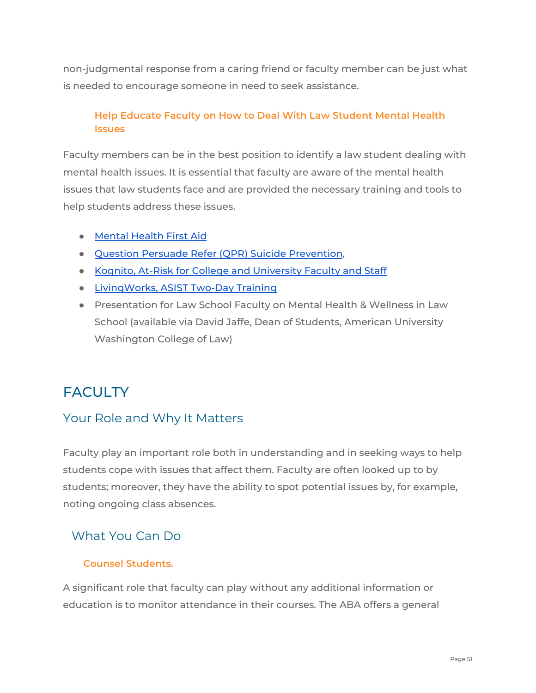non-judgmental response from a caring friend or faculty member can be just what is needed to encourage someone in need to seek assistance.

#### <span id="page-50-0"></span>**Help Educate Faculty on How to Deal With Law Student Mental Health Issues**

Faculty members can be in the best position to identify a law student dealing with mental health issues. It is essential that faculty are aware of the mental health issues that law students face and are provided the necessary training and tools to help students address these issues.

- [Mental](https://www.mentalhealthfirstaid.org/) Health First Aid
- Question Persuade Refer (QPR) Suicide [Prevention,](https://qprinstitute.com/)
- Kognito, At-Risk for College and [University](https://kognito.com/products/at-risk-for-university-faculty-and-staff) Faculty and Staff
- [LivingWorks,](https://www.livingworks.net/asist) ASIST Two-Day Training
- Presentation for Law School Faculty on Mental Health & Wellness in Law School (available via David Jaffe, Dean of Students, American University Washington College of Law)

## <span id="page-50-1"></span>**FACULTY**

## <span id="page-50-2"></span>Your Role and Why It Matters

Faculty play an important role both in understanding and in seeking ways to help students cope with issues that affect them. Faculty are often looked up to by students; moreover, they have the ability to spot potential issues by, for example, noting ongoing class absences.

## <span id="page-50-3"></span>What You Can Do

#### <span id="page-50-4"></span>**Counsel Students.**

A significant role that faculty can play without any additional information or education is to monitor attendance in their courses. The ABA offers a general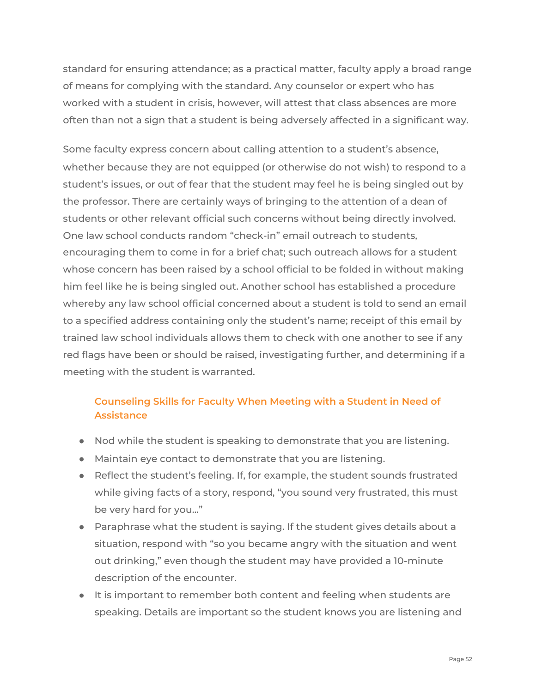standard for ensuring attendance; as a practical matter, faculty apply a broad range of means for complying with the standard. Any counselor or expert who has worked with a student in crisis, however, will attest that class absences are more often than not a sign that a student is being adversely affected in a significant way.

Some faculty express concern about calling attention to a student's absence, whether because they are not equipped (or otherwise do not wish) to respond to a student's issues, or out of fear that the student may feel he is being singled out by the professor. There are certainly ways of bringing to the attention of a dean of students or other relevant official such concerns without being directly involved. One law school conducts random "check-in" email outreach to students, encouraging them to come in for a brief chat; such outreach allows for a student whose concern has been raised by a school official to be folded in without making him feel like he is being singled out. Another school has established a procedure whereby any law school official concerned about a student is told to send an email to a specified address containing only the student's name; receipt of this email by trained law school individuals allows them to check with one another to see if any red flags have been or should be raised, investigating further, and determining if a meeting with the student is warranted.

## <span id="page-51-0"></span>**Counseling Skills for Faculty When Meeting with a Student in Need of Assistance**

- Nod while the student is speaking to demonstrate that you are listening.
- Maintain eye contact to demonstrate that you are listening.
- Reflect the student's feeling. If, for example, the student sounds frustrated while giving facts of a story, respond, "you sound very frustrated, this must be very hard for you..."
- Paraphrase what the student is saying. If the student gives details about a situation, respond with "so you became angry with the situation and went out drinking," even though the student may have provided a 10-minute description of the encounter.
- It is important to remember both content and feeling when students are speaking. Details are important so the student knows you are listening and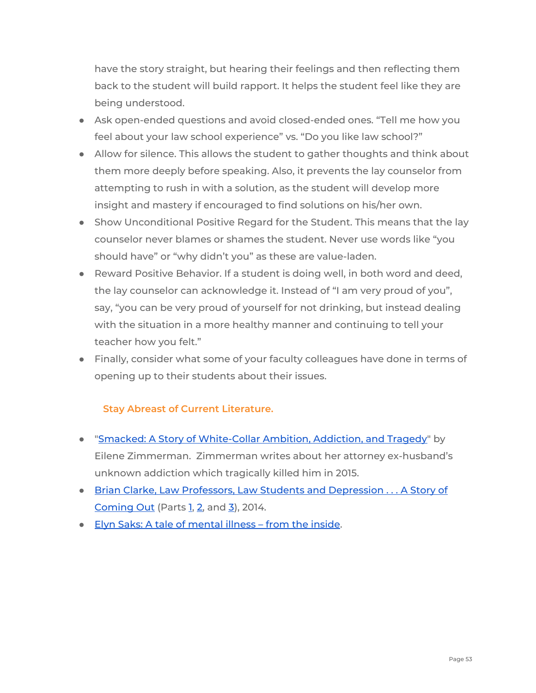have the story straight, but hearing their feelings and then reflecting them back to the student will build rapport. It helps the student feel like they are being understood.

- Ask open-ended questions and avoid closed-ended ones. "Tell me how you feel about your law school experience" vs. "Do you like law school?"
- Allow for silence. This allows the student to gather thoughts and think about them more deeply before speaking. Also, it prevents the lay counselor from attempting to rush in with a solution, as the student will develop more insight and mastery if encouraged to find solutions on his/her own.
- Show Unconditional Positive Regard for the Student. This means that the lay counselor never blames or shames the student. Never use words like "you should have" or "why didn't you" as these are value-laden.
- Reward Positive Behavior. If a student is doing well, in both word and deed, the lay counselor can acknowledge it. Instead of "I am very proud of you", say, "you can be very proud of yourself for not drinking, but instead dealing with the situation in a more healthy manner and continuing to tell your teacher how you felt."
- Finally, consider what some of your faculty colleagues have done in terms of opening up to their students about their issues.

#### **Stay Abreast of Current Literature.**

- <span id="page-52-0"></span>● "Smacked: A Story of [White-Collar](https://www.npr.org/sections/health-shots/2020/02/04/802479660/a-widow-not-a-wife-smacked-explores-an-ex-husbands-secret-addiction) Ambition, Addiction, and Tragedy" by Eilene Zimmerman. Zimmerman writes about her attorney ex-husband's unknown addiction which tragically killed him in 2015.
- Brian Clarke, Law Professors, Law Students and [Depression](http://www.thefacultylounge.org/2014/03/law-professors-law-students-and-depression-a-story-of-coming-out-%20part-1.html) . . . A Story of [Coming](http://www.thefacultylounge.org/2014/03/law-professors-law-students-and-depression-a-story-of-coming-out-%20part-1.html) Out (Parts [1,](http://www.thefacultylounge.org/2014/03/law-professors-law-students-and-depression-a-story-of-coming-out-%20part-1.html) [2,](http://www.thefacultylounge.org/2014/04/in-part-i-of-this-little-series-i-laid-out-some-of-the-statistics-%20regarding-the-scope-of-the-problem-of-depression-and-anxie.html) and [3\)](http://www.thefacultylounge.org/2014/04/the-coming-out-trilogy-part-3.html), 2014.
- Elyn Saks: A tale of [mental](http://www.ted.com/talks/elyn_saks_seeing_mental_illness?language=en) illness from the inside.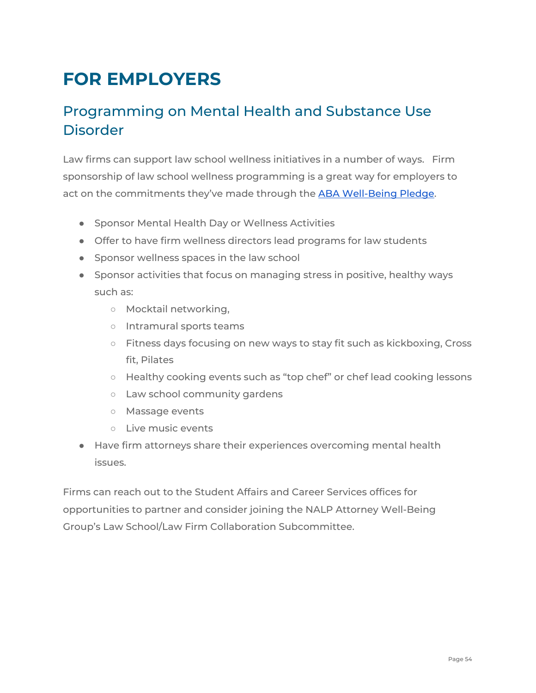# <span id="page-53-0"></span>**FOR EMPLOYERS**

## Programming on Mental Health and Substance Use Disorder

Law firms can support law school wellness initiatives in a number of ways. Firm sponsorship of law school wellness programming is a great way for employers to act on the commitments they've made through the ABA [Well-Being](https://www.americanbar.org/groups/lawyer_assistance/working-group_to_advance_well-being_in_legal_profession/) Pledge.

- Sponsor Mental Health Day or Wellness Activities
- Offer to have firm wellness directors lead programs for law students
- Sponsor wellness spaces in the law school
- Sponsor activities that focus on managing stress in positive, healthy ways such as:
	- Mocktail networking,
	- Intramural sports teams
	- Fitness days focusing on new ways to stay fit such as kickboxing, Cross fit, Pilates
	- Healthy cooking events such as "top chef" or chef lead cooking lessons
	- Law school community gardens
	- Massage events
	- Live music events
- Have firm attorneys share their experiences overcoming mental health issues.

Firms can reach out to the Student Affairs and Career Services offices for opportunities to partner and consider joining the NALP Attorney Well-Being Group's Law School/Law Firm Collaboration Subcommittee.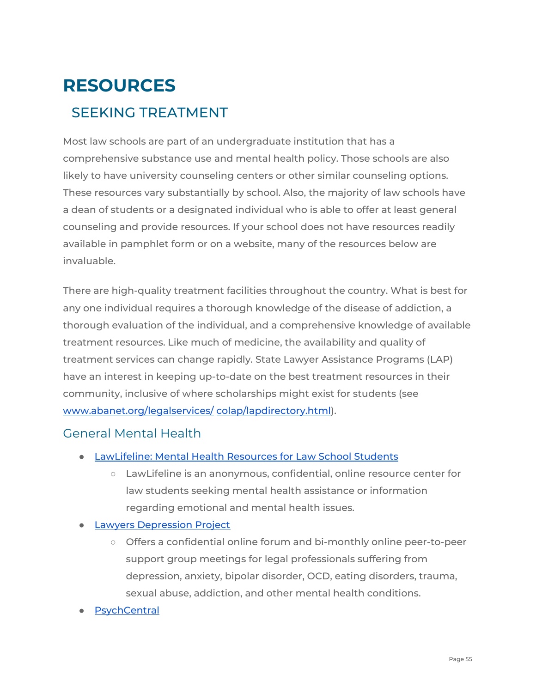# <span id="page-54-1"></span><span id="page-54-0"></span>**RESOURCES** SEEKING TREATMENT

Most law schools are part of an undergraduate institution that has a comprehensive substance use and mental health policy. Those schools are also likely to have university counseling centers or other similar counseling options. These resources vary substantially by school. Also, the majority of law schools have a dean of students or a designated individual who is able to offer at least general counseling and provide resources. If your school does not have resources readily available in pamphlet form or on a website, many of the resources below are invaluable.

There are high-quality treatment facilities throughout the country. What is best for any one individual requires a thorough knowledge of the disease of addiction, a thorough evaluation of the individual, and a comprehensive knowledge of available treatment resources. Like much of medicine, the availability and quality of treatment services can change rapidly. State Lawyer Assistance Programs (LAP) have an interest in keeping up-to-date on the best treatment resources in their community, inclusive of where scholarships might exist for students (see [www.abanet.org/legalservices/](http://www.abanet.org/legalservices/colap/lapdirectory.html) [colap/lapdirectory.html](http://www.abanet.org/legalservices/colap/lapdirectory.html)).

## <span id="page-54-2"></span>General Mental Health

- [LawLifeline:](http://www.lawlifeline.org/) Mental Health Resources for Law School Students
	- LawLifeline is an anonymous, confidential, online resource center for law students seeking mental health assistance or information regarding emotional and mental health issues.
- **Lawyers [Depression](https://www.lawyersdepressionproject.org/) Project** 
	- Offers a confidential online forum and bi-monthly online peer-to-peer support group meetings for legal professionals suffering from depression, anxiety, bipolar disorder, OCD, eating disorders, trauma, sexual abuse, addiction, and other mental health conditions.
- **[PsychCentral](https://psychcentral.com/)**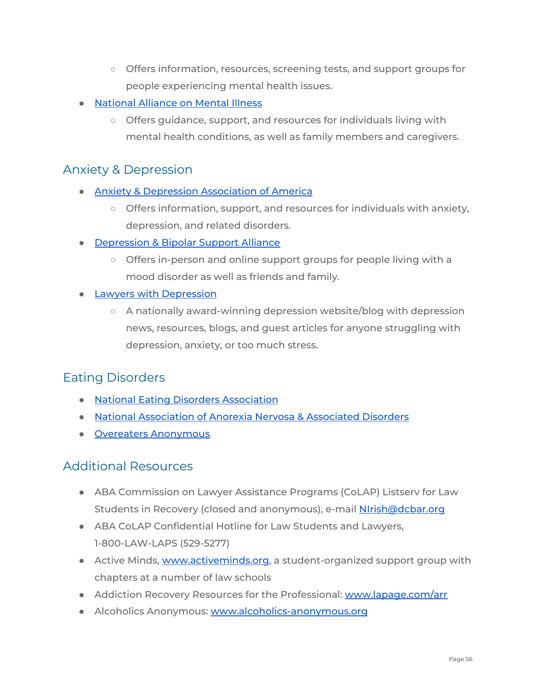- Offers information, resources, screening tests, and support groups for people experiencing mental health issues.
- [National](http://www.nami.org/) Alliance on Mental Illness
	- Offers guidance, support, and resources for individuals living with mental health conditions, as well as family members and caregivers.

## <span id="page-55-0"></span>Anxiety & Depression

- Anxiety & Depression [Association](https://adaa.org/) of America
	- Offers information, support, and resources for individuals with anxiety, depression, and related disorders.
- [Depression](https://www.dbsalliance.org/) & Bipolar Support Alliance
	- Offers in-person and online support groups for people living with a mood disorder as well as friends and family.
- **Lawyers with [Depression](http://www.lawyerswithdepression.com/)** 
	- $\circ$  A nationally award-winning depression website/blog with depression news, resources, blogs, and guest articles for anyone struggling with depression, anxiety, or too much stress.

## <span id="page-55-1"></span>Eating Disorders

- National Eating Disorders [Association](https://www.nationaleatingdisorders.org/)
- National [Association](https://anad.org/) of Anorexia Nervosa & Associated Disorders
- Overeaters [Anonymous](https://www.oa.org/)

## <span id="page-55-2"></span>Additional Resources

- ABA Commission on Lawyer Assistance Programs (CoLAP) Listserv for Law Students in Recovery (closed and anonymous), e-mail [NIrish@dcbar.org](mailto:NIrish@dcbar.org)
- ABA CoLAP Confidential Hotline for Law Students and Lawyers, 1-800-LAW-LAPS (529-5277)
- Active Minds, [www.activeminds.org,](http://www.activeminds.org/) a student-organized support group with chapters at a number of law schools
- Addiction Recovery Resources for the Professional: [www.lapage.com/arr](http://www.lapage.com/arr)
- Alcoholics Anonymous: [www.alcoholics-anonymous.org](http://www.alcoholics-anonymous.org/)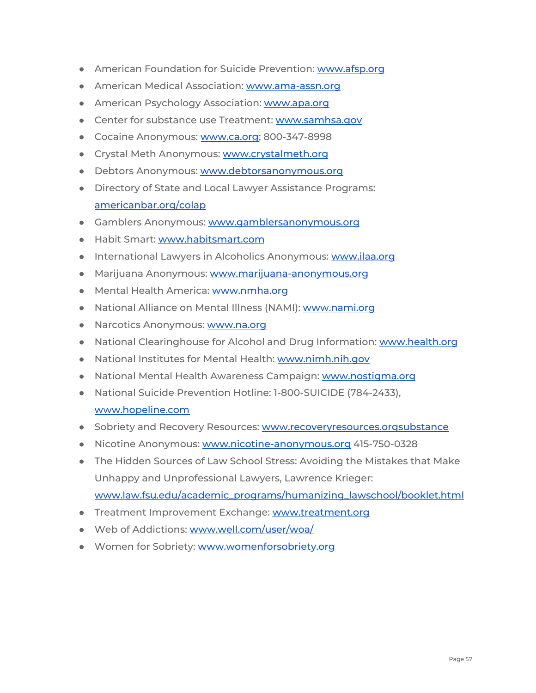- American Foundation for Suicide Prevention: [www.afsp.org](http://www.afsp.org/)
- American Medical Association: [www.ama-assn.org](http://www.ama-assn.org/)
- American Psychology Association: [www.apa.org](http://www.apa.org/)
- Center for substance use Treatment: [www.samhsa.gov](http://www.samhsa.gov/)
- Cocaine Anonymous: [www.ca.org;](http://www.ca.org/) 800-347-8998
- Crystal Meth Anonymous: [www.crystalmeth.org](http://www.crystalmeth.org/)
- Debtors Anonymous: [www.debtorsanonymous.org](http://www.debtorsanonymous.org/)
- Directory of State and Local Lawyer Assistance Programs: [americanbar.org/colap](https://www.americanbar.org/groups/lawyer_assistance/)
- Gamblers Anonymous: [www.gamblersanonymous.org](http://www.gamblersanonymous.org/)
- Habit Smart: [www.habitsmart.com](http://www.habitsmart.com/)
- International Lawyers in Alcoholics Anonymous: [www.ilaa.org](http://www.ilaa.org/)
- Marijuana Anonymous: [www.marijuana-anonymous.org](http://www.marijuana-anonymous.org/)
- Mental Health America: [www.nmha.org](http://www.nmha.org/)
- National Alliance on Mental Illness (NAMI): [www.nami.org](http://www.nami.org/)
- Narcotics Anonymous: [www.na.org](http://www.na.org/)
- National Clearinghouse for Alcohol and Drug Information: [www.health.org](http://www.health.org/)
- National Institutes for Mental Health: [www.nimh.nih.gov](http://www.nimh.nih.gov/)
- National Mental Health Awareness Campaign: [www.nostigma.org](http://www.nostigma.org/)
- National Suicide Prevention Hotline: 1-800-SUICIDE (784-2433),

#### [www.hopeline.com](http://www.hopeline.com/)

- Sobriety and Recovery Resources: [www.recoveryresources.orgsubstance](http://www.recoveryresources.orgsubstance/)
- Nicotine Anonymous: [www.nicotine-anonymous.org](http://www.nicotine-anonymous.org/) 415-750-0328
- The Hidden Sources of Law School Stress: Avoiding the Mistakes that Make Unhappy and Unprofessional Lawyers, Lawrence Krieger: [www.law.fsu.edu/academic\\_programs/humanizing\\_lawschool/booklet.html](http://www.law.fsu.edu/academic_programs/humanizing_lawschool/booklet.html)
- Treatment Improvement Exchange: [www.treatment.org](http://www.treatment.org/)
- Web of Addictions: [www.well.com/user/woa/](http://www.well.com/user/woa/)
- Women for Sobriety: [www.womenforsobriety.org](http://www.womenforsobriety.org/)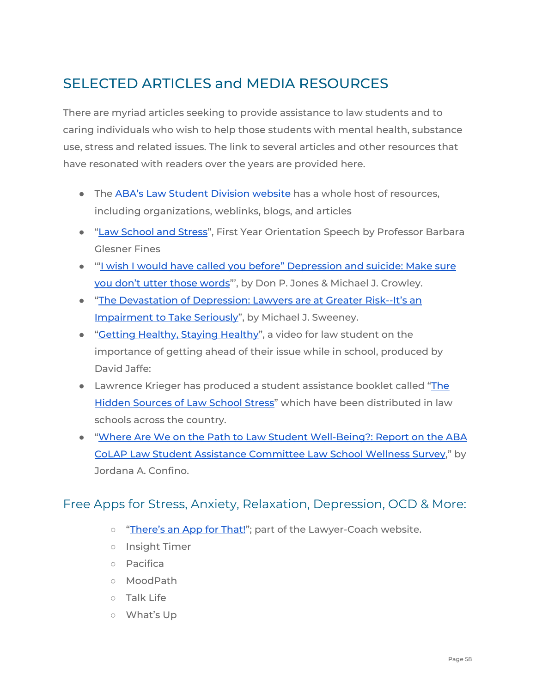## <span id="page-57-0"></span>SELECTED ARTICLES and MEDIA RESOURCES

There are myriad articles seeking to provide assistance to law students and to caring individuals who wish to help those students with mental health, substance use, stress and related issues. The link to several articles and other resources that have resonated with readers over the years are provided here.

- The ABA's Law [Student](https://abaforlawstudents.com/) Division website has a whole host of resources, including organizations, weblinks, blogs, and articles
- "Law [School](http://law2.umkc.edu/faculty/profiles/glesnerfines/bgf-strs.htm) and Stress", First Year Orientation Speech by Professor Barbara Glesner Fines
- "I wish I would have called you before" [Depression](http://www.americanbar.org/content/dam/aba/administrative/lawyer_%20assistance/ls_colap_depression_and_suicide_jones_and_crowley.authcheckdam.pdf) and suicide: Make sure you don't utter those [words](http://www.americanbar.org/content/dam/aba/administrative/lawyer_%20assistance/ls_colap_depression_and_suicide_jones_and_crowley.authcheckdam.pdf)"', by Don P. Jones & Michael J. Crowley.
- "The [Devastation](http://www.alabar.org/alap/articles/devastation_of_depression.pdf) of Depression: Lawyers are at Greater Risk--It's an [Impairment](http://www.alabar.org/alap/articles/devastation_of_depression.pdf) to Take Seriously", by Michael J. Sweeney.
- "Getting [Healthy,](http://media.wcl.american.edu/Mediasite/Play/acfe55debf3d4910930e8657b1%2068983e) Staying Healthy", a video for law student on the importance of getting ahead of their issue while in school, produced by David Jaffe:
- Lawrence Krieger has produced a student assistance booklet called "[The](http://www.law.fsu.edu/academic_programs/humanizing_lawschool/booklet.html) Hidden [Sources](http://www.law.fsu.edu/academic_programs/humanizing_lawschool/booklet.html) of Law School Stress" which have been distributed in law schools across the country.
- "Where Are We on the Path to Law Student [Well-Being?:](https://papers.ssrn.com/sol3/papers.cfm?abstract_id=3374976) Report on the ABA CoLAP Law Student Assistance [Committee](https://papers.ssrn.com/sol3/papers.cfm?abstract_id=3374976) Law School Wellness Survey," by Jordana A. Confino.

## <span id="page-57-1"></span>Free Apps for Stress, Anxiety, Relaxation, Depression, OCD & More:

- o ["There's](http://shar.es/Pn5ZD) an App for That!"; part of the Lawyer-Coach website.
- Insight Timer
- Pacifica
- MoodPath
- Talk Life
- What's Up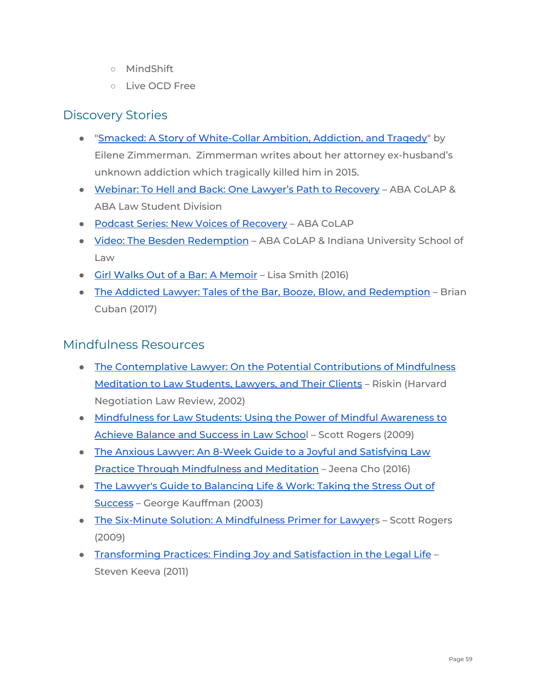- MindShift
- Live OCD Free

## <span id="page-58-0"></span>Discovery Stories

- "Smacked: A Story of [White-Collar](https://www.npr.org/sections/health-shots/2020/02/04/802479660/a-widow-not-a-wife-smacked-explores-an-ex-husbands-secret-addiction) Ambition, Addiction, and Tragedy" by Eilene Zimmerman. Zimmerman writes about her attorney ex-husband's unknown addiction which tragically killed him in 2015.
- Webinar: To Hell and Back: One Lawyer's Path to [Recovery](https://abaforlawstudents.com/event/to-hell-and-back-one-lawyers-path-to-recovery/) ABA CoLAP & ABA Law Student Division
- Podcast Series: New Voices of [Recovery](https://www.americanbar.org/groups/lawyer_assistance/events_cle/voices_of_recovery_podcast_series.html) ABA CoLAP
- Video: The Besden [Redemption](https://www.americanbar.org/groups/lawyer_assistance/events_cle/the_besden_redemption.html) ABA CoLAP & Indiana University School of Law
- Girl Walks Out of a Bar: A [Memoir](https://www.amazon.com/Girl-Walks-Out-Bar-Memoir/dp/1590793218) Lisa Smith (2016)
- The Addicted Lawyer: Tales of the Bar, Booze, Blow, and [Redemption](https://www.amazon.com/Addicted-Lawyer-Tales-Booze-Redemption/dp/1682613704) Brian Cuban (2017)

#### <span id="page-58-1"></span>Mindfulness Resources

- The [Contemplative](https://scholarship.law.ufl.edu/cgi/viewcontent.cgi?article=1436&context=facultypub) Lawyer: On the Potential Contributions of Mindfulness [Meditation](https://scholarship.law.ufl.edu/cgi/viewcontent.cgi?article=1436&context=facultypub) to Law Students, Lawyers, and Their Clients – Riskin (Harvard Negotiation Law Review, 2002)
- [Mindfulness](https://www.amazon.com/Mindfulness-Law-Students-Achieve-Balance/dp/0977345513) for Law Students: Using the Power of Mindful Awareness to Achieve [Balance](https://www.amazon.com/Mindfulness-Law-Students-Achieve-Balance/dp/0977345513) and Success in Law School – Scott Rogers (2009)
- The Anxious Lawyer: An 8-Week Guide to a Joyful and [Satisfying](https://www.amazon.com/Anxious-Lawyer-Satisfying-Mindfulness-Meditation/dp/1627226249) Law Practice Through [Mindfulness](https://www.amazon.com/Anxious-Lawyer-Satisfying-Mindfulness-Meditation/dp/1627226249) and Meditation – Jeena Cho (2016)
- The Lawyer's Guide to [Balancing](https://www.amazon.com/Lawyers-Guide-Balancing-Life-Work/dp/1570737002) Life & Work: Taking the Stress Out of [Success](https://www.amazon.com/Lawyers-Guide-Balancing-Life-Work/dp/1570737002) – George Kauffman (2003)
- The Six-Minute Solution: A [Mindfulness](https://amzn.to/2OdbnSL) Primer for Lawyers Scott Rogers (2009)
- [Transforming](https://www.amazon.com/Transforming-Practices-Finding-Satisfaction-Legal/dp/1604427299) Practices: Finding Joy and Satisfaction in the Legal Life Steven Keeva (2011)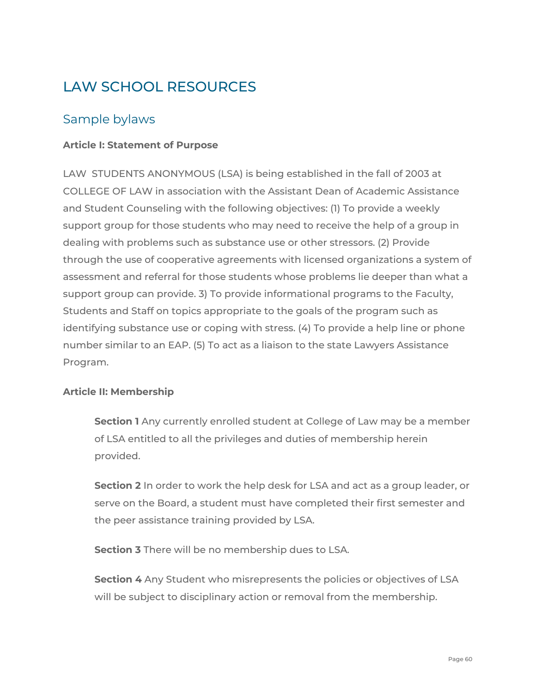## <span id="page-59-0"></span>LAW SCHOOL RESOURCES

## <span id="page-59-1"></span>Sample bylaws

#### **Article I: Statement of Purpose**

LAW STUDENTS ANONYMOUS (LSA) is being established in the fall of 2003 at COLLEGE OF LAW in association with the Assistant Dean of Academic Assistance and Student Counseling with the following objectives: (1) To provide a weekly support group for those students who may need to receive the help of a group in dealing with problems such as substance use or other stressors. (2) Provide through the use of cooperative agreements with licensed organizations a system of assessment and referral for those students whose problems lie deeper than what a support group can provide. 3) To provide informational programs to the Faculty, Students and Staff on topics appropriate to the goals of the program such as identifying substance use or coping with stress. (4) To provide a help line or phone number similar to an EAP. (5) To act as a liaison to the state Lawyers Assistance Program.

#### **Article II: Membership**

**Section 1** Any currently enrolled student at College of Law may be a member of LSA entitled to all the privileges and duties of membership herein provided.

**Section 2** In order to work the help desk for LSA and act as a group leader, or serve on the Board, a student must have completed their first semester and the peer assistance training provided by LSA.

**Section 3** There will be no membership dues to LSA.

**Section 4** Any Student who misrepresents the policies or objectives of LSA will be subject to disciplinary action or removal from the membership.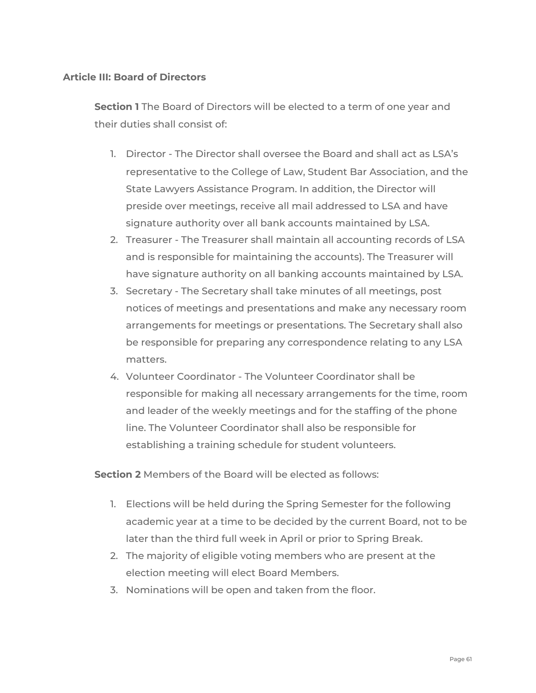#### **Article III: Board of Directors**

**Section 1** The Board of Directors will be elected to a term of one year and their duties shall consist of:

- 1. Director The Director shall oversee the Board and shall act as LSA's representative to the College of Law, Student Bar Association, and the State Lawyers Assistance Program. In addition, the Director will preside over meetings, receive all mail addressed to LSA and have signature authority over all bank accounts maintained by LSA.
- 2. Treasurer The Treasurer shall maintain all accounting records of LSA and is responsible for maintaining the accounts). The Treasurer will have signature authority on all banking accounts maintained by LSA.
- 3. Secretary The Secretary shall take minutes of all meetings, post notices of meetings and presentations and make any necessary room arrangements for meetings or presentations. The Secretary shall also be responsible for preparing any correspondence relating to any LSA matters.
- 4. Volunteer Coordinator The Volunteer Coordinator shall be responsible for making all necessary arrangements for the time, room and leader of the weekly meetings and for the staffing of the phone line. The Volunteer Coordinator shall also be responsible for establishing a training schedule for student volunteers.

**Section 2** Members of the Board will be elected as follows:

- 1. Elections will be held during the Spring Semester for the following academic year at a time to be decided by the current Board, not to be later than the third full week in April or prior to Spring Break.
- 2. The majority of eligible voting members who are present at the election meeting will elect Board Members.
- 3. Nominations will be open and taken from the floor.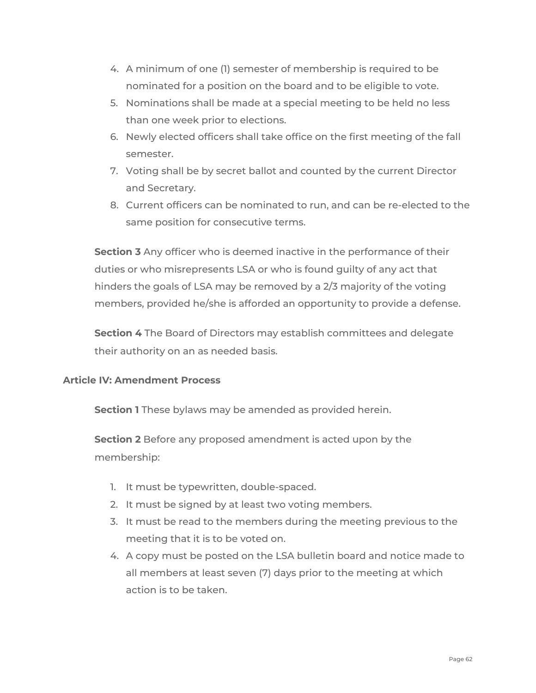- 4. A minimum of one (1) semester of membership is required to be nominated for a position on the board and to be eligible to vote.
- 5. Nominations shall be made at a special meeting to be held no less than one week prior to elections.
- 6. Newly elected officers shall take office on the first meeting of the fall semester.
- 7. Voting shall be by secret ballot and counted by the current Director and Secretary.
- 8. Current officers can be nominated to run, and can be re-elected to the same position for consecutive terms.

**Section 3** Any officer who is deemed inactive in the performance of their duties or who misrepresents LSA or who is found guilty of any act that hinders the goals of LSA may be removed by a 2/3 majority of the voting members, provided he/she is afforded an opportunity to provide a defense.

**Section 4** The Board of Directors may establish committees and delegate their authority on an as needed basis.

#### **Article IV: Amendment Process**

**Section 1** These bylaws may be amended as provided herein.

**Section 2** Before any proposed amendment is acted upon by the membership:

- 1. It must be typewritten, double-spaced.
- 2. It must be signed by at least two voting members.
- 3. It must be read to the members during the meeting previous to the meeting that it is to be voted on.
- 4. A copy must be posted on the LSA bulletin board and notice made to all members at least seven (7) days prior to the meeting at which action is to be taken.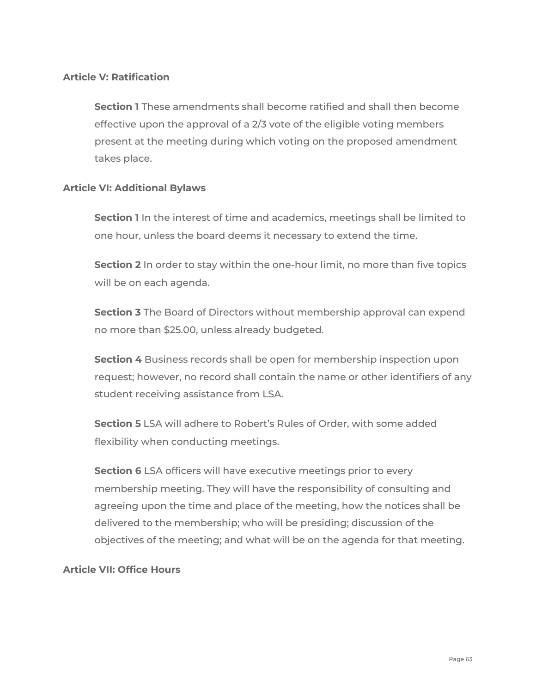#### **Article V: Ratification**

**Section 1** These amendments shall become ratified and shall then become effective upon the approval of a 2/3 vote of the eligible voting members present at the meeting during which voting on the proposed amendment takes place.

#### **Article VI: Additional Bylaws**

**Section 1** In the interest of time and academics, meetings shall be limited to one hour, unless the board deems it necessary to extend the time.

**Section 2** In order to stay within the one-hour limit, no more than five topics will be on each agenda.

**Section 3** The Board of Directors without membership approval can expend no more than \$25.00, unless already budgeted.

**Section 4** Business records shall be open for membership inspection upon request; however, no record shall contain the name or other identifiers of any student receiving assistance from LSA.

**Section 5** LSA will adhere to Robert's Rules of Order, with some added flexibility when conducting meetings.

**Section 6** LSA officers will have executive meetings prior to every membership meeting. They will have the responsibility of consulting and agreeing upon the time and place of the meeting, how the notices shall be delivered to the membership; who will be presiding; discussion of the objectives of the meeting; and what will be on the agenda for that meeting.

#### **Article VII: Office Hours**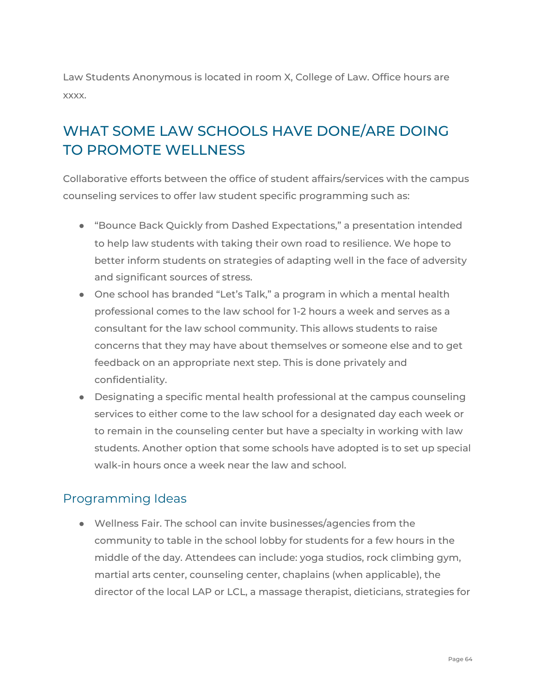Law Students Anonymous is located in room X, College of Law. Office hours are xxxx.

## <span id="page-63-0"></span>WHAT SOME LAW SCHOOLS HAVE DONE/ARE DOING TO PROMOTE WELLNESS

Collaborative efforts between the office of student affairs/services with the campus counseling services to offer law student specific programming such as:

- "Bounce Back Quickly from Dashed Expectations," a presentation intended to help law students with taking their own road to resilience. We hope to better inform students on strategies of adapting well in the face of adversity and significant sources of stress.
- One school has branded "Let's Talk," a program in which a mental health professional comes to the law school for 1-2 hours a week and serves as a consultant for the law school community. This allows students to raise concerns that they may have about themselves or someone else and to get feedback on an appropriate next step. This is done privately and confidentiality.
- Designating a specific mental health professional at the campus counseling services to either come to the law school for a designated day each week or to remain in the counseling center but have a specialty in working with law students. Another option that some schools have adopted is to set up special walk-in hours once a week near the law and school.

## <span id="page-63-1"></span>Programming Ideas

● Wellness Fair. The school can invite businesses/agencies from the community to table in the school lobby for students for a few hours in the middle of the day. Attendees can include: yoga studios, rock climbing gym, martial arts center, counseling center, chaplains (when applicable), the director of the local LAP or LCL, a massage therapist, dieticians, strategies for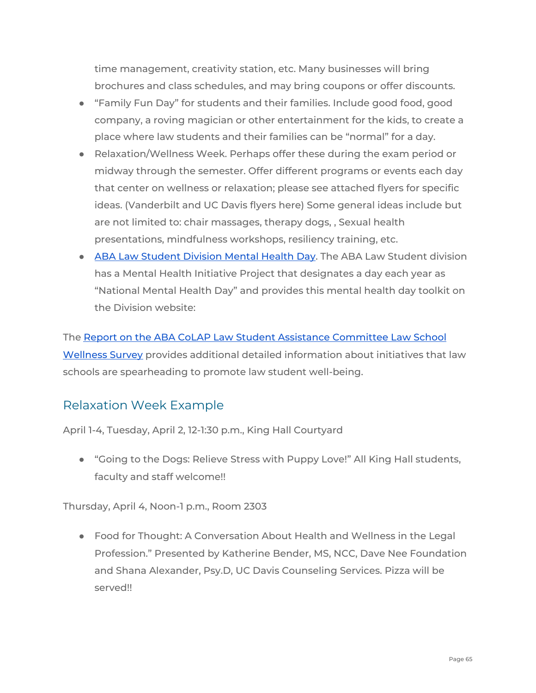time management, creativity station, etc. Many businesses will bring brochures and class schedules, and may bring coupons or offer discounts.

- "Family Fun Day" for students and their families. Include good food, good company, a roving magician or other entertainment for the kids, to create a place where law students and their families can be "normal" for a day.
- Relaxation/Wellness Week. Perhaps offer these during the exam period or midway through the semester. Offer different programs or events each day that center on wellness or relaxation; please see attached flyers for specific ideas. (Vanderbilt and UC Davis flyers here) Some general ideas include but are not limited to: chair massages, therapy dogs, , Sexual health presentations, mindfulness workshops, resiliency training, etc.
- ABA Law [Student](https://abaforlawstudents.com/events/initiatives-and-awards/mental-health-resources/) Division Mental Health Day. The ABA Law Student division has a Mental Health Initiative Project that designates a day each year as "National Mental Health Day" and provides this mental health day toolkit on the Division website:

The Report on the ABA CoLAP Law Student Assistance [Committee](https://papers.ssrn.com/sol3/papers.cfm?abstract_id=3374976) Law School [Wellness](https://papers.ssrn.com/sol3/papers.cfm?abstract_id=3374976) Survey provides additional detailed information about initiatives that law schools are spearheading to promote law student well-being.

## <span id="page-64-0"></span>Relaxation Week Example

April 1-4, Tuesday, April 2, 12-1:30 p.m., King Hall Courtyard

● "Going to the Dogs: Relieve Stress with Puppy Love!" All King Hall students, faculty and staff welcome!!

Thursday, April 4, Noon-1 p.m., Room 2303

● Food for Thought: A Conversation About Health and Wellness in the Legal Profession." Presented by Katherine Bender, MS, NCC, Dave Nee Foundation and Shana Alexander, Psy.D, UC Davis Counseling Services. Pizza will be served!!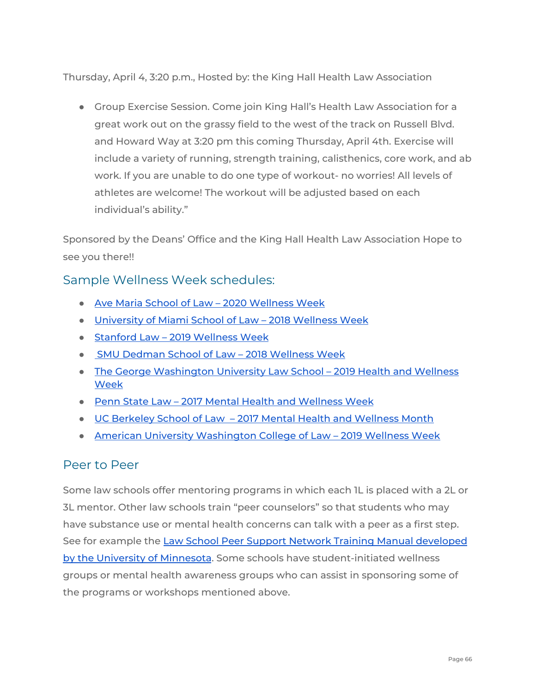Thursday, April 4, 3:20 p.m., Hosted by: the King Hall Health Law Association

● Group Exercise Session. Come join King Hall's Health Law Association for a great work out on the grassy field to the west of the track on Russell Blvd. and Howard Way at 3:20 pm this coming Thursday, April 4th. Exercise will include a variety of running, strength training, calisthenics, core work, and ab work. If you are unable to do one type of workout- no worries! All levels of athletes are welcome! The workout will be adjusted based on each individual's ability."

Sponsored by the Deans' Office and the King Hall Health Law Association Hope to see you there!!

## <span id="page-65-0"></span>Sample Wellness Week schedules:

- Ave Maria School of Law 2020 [Wellness](https://www.avemarialaw.edu/mental-health-wellness/) Week
- [University](https://media.law.miami.edu/current-students/img/wellness-week-2018.jpg) of Miami School of Law 2018 Wellness Week
- Stanford Law 2019 [Wellness](https://www.sandiego.edu/law/documents/student-affairs/live-well-march-2018.pdf) Week
- SMU Dedman School of Law 2018 [Wellness](https://www.smu.edu/Law/Students/Student-Affairs/Student-Wellness) Week
- The George [Washington](https://www.law.gwu.edu/fall-2017-health-and-wellness-week) University Law School 2019 Health and Wellness [Week](https://www.law.gwu.edu/fall-2017-health-and-wellness-week)
- Penn State Law 2017 Mental Health and [Wellness](https://pennstatelaw.psu.edu/mental-health-and-wellness-week) Week
- UC Berkeley School of Law 2017 Mental Health and [Wellness](https://www.law.berkeley.edu/students/wellness/2019-mental-health-and-wellness-week/) Month
- American University [Washington](https://www.wcl.american.edu/wcl-american-edu/assets/Image/news-events/news/Wellness%20Week%202014.pdf) College of Law 2019 Wellness Week

#### <span id="page-65-1"></span>Peer to Peer

Some law schools offer mentoring programs in which each 1L is placed with a 2L or 3L mentor. Other law schools train "peer counselors" so that students who may have substance use or mental health concerns can talk with a peer as a first step. See for example the Law School Peer Support Network Training Manual [developed](http://www.americanbar.org/content/dam/aba/administrative/%20lawyer_assistance/ls_colap_law_school_peer_support_network_training_manual.authcheckdam.pdf) by the University of [Minnesota.](http://www.americanbar.org/content/dam/aba/administrative/%20lawyer_assistance/ls_colap_law_school_peer_support_network_training_manual.authcheckdam.pdf) Some schools have student-initiated wellness groups or mental health awareness groups who can assist in sponsoring some of the programs or workshops mentioned above.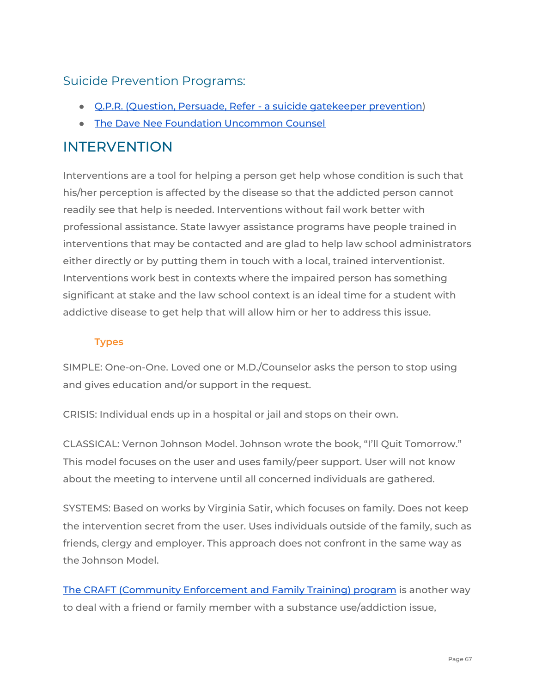## <span id="page-66-0"></span>Suicide Prevention Programs:

- Q.P.R. (Question, Persuade, Refer a suicide [gatekeeper](http://www.qprinstitute.com/) prevention)
- The Dave Nee Foundation [Uncommon](http://daveneefoundation.org/) Counsel

## <span id="page-66-1"></span>INTERVENTION

Interventions are a tool for helping a person get help whose condition is such that his/her perception is affected by the disease so that the addicted person cannot readily see that help is needed. Interventions without fail work better with professional assistance. State lawyer assistance programs have people trained in interventions that may be contacted and are glad to help law school administrators either directly or by putting them in touch with a local, trained interventionist. Interventions work best in contexts where the impaired person has something significant at stake and the law school context is an ideal time for a student with addictive disease to get help that will allow him or her to address this issue.

#### <span id="page-66-2"></span>**Types**

SIMPLE: One-on-One. Loved one or M.D./Counselor asks the person to stop using and gives education and/or support in the request.

CRISIS: Individual ends up in a hospital or jail and stops on their own.

CLASSICAL: Vernon Johnson Model. Johnson wrote the book, "I'll Quit Tomorrow." This model focuses on the user and uses family/peer support. User will not know about the meeting to intervene until all concerned individuals are gathered.

SYSTEMS: Based on works by Virginia Satir, which focuses on family. Does not keep the intervention secret from the user. Uses individuals outside of the family, such as friends, clergy and employer. This approach does not confront in the same way as the Johnson Model.

The CRAFT (Community [Enforcement](http://motivationandchange.com/outpatient-treatment/for-families/craft-overview/) and Family Training) program is another way to deal with a friend or family member with a substance use/addiction issue,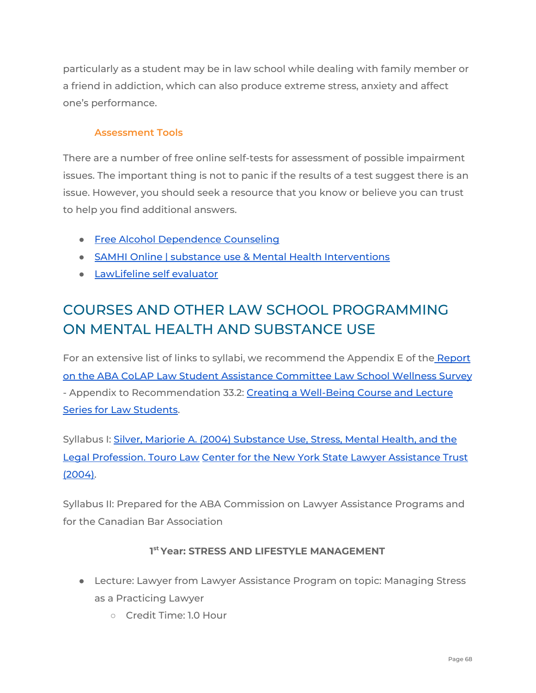particularly as a student may be in law school while dealing with family member or a friend in addiction, which can also produce extreme stress, anxiety and affect one's performance.

#### <span id="page-67-0"></span>**Assessment Tools**

There are a number of free online self-tests for assessment of possible impairment issues. The important thing is not to panic if the results of a test suggest there is an issue. However, you should seek a resource that you know or believe you can trust to help you find additional answers.

- Free Alcohol [Dependence](http://www.the-alcoholism-guide.org/free-alcohol-asessment.html) Counseling
- SAMHI Online | substance use & Mental Health [Interventions](https://www.samhi.online/)
- [LawLifeline](http://www.lawlifeline.org/self_evaluator) self evaluator

## <span id="page-67-1"></span>COURSES AND OTHER LAW SCHOOL PROGRAMMING ON MENTAL HEALTH AND SUBSTANCE USE

For an extensive list of links to syllabi, we recommend the Appendix E of the [Report](https://papers.ssrn.com/sol3/papers.cfm?abstract_id=3374976) on the ABA CoLAP Law Student Assistance [Committee](https://papers.ssrn.com/sol3/papers.cfm?abstract_id=3374976) Law School Wellness Survey - Appendix to Recommendation 33.2: Creating a [Well-Being](https://www.americanbar.org/content/dam/aba/images/abanews/ThePathToLawyerWellBeingReportRevFINAL.pdf) Course and Lecture Series for Law [Students](https://www.americanbar.org/content/dam/aba/images/abanews/ThePathToLawyerWellBeingReportRevFINAL.pdf).

Syllabus I: Silver, Marjorie A. (2004) [Substance](http://www.nylat.org/documents/CourseinaBox.pdf) Use, Stress, Mental Health, and the Legal [Profession.](http://www.nylat.org/documents/CourseinaBox.pdf) Touro Law Center for the New York State Lawyer [Assistance](http://www.nylat.org/documents/CourseinaBox.pdf) Trust [\(2004\).](http://www.nylat.org/documents/CourseinaBox.pdf)

Syllabus II: Prepared for the ABA Commission on Lawyer Assistance Programs and for the Canadian Bar Association

#### **1 st Year: STRESS AND LIFESTYLE MANAGEMENT**

- Lecture: Lawyer from Lawyer Assistance Program on topic: Managing Stress as a Practicing Lawyer
	- Credit Time: 1.0 Hour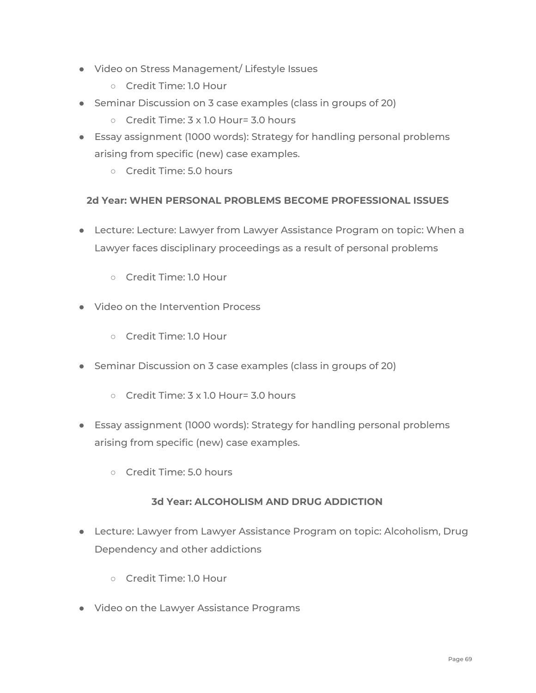- Video on Stress Management/ Lifestyle Issues
	- Credit Time: 1.0 Hour
- Seminar Discussion on 3 case examples (class in groups of 20)
	- Credit Time: 3 x 1.0 Hour= 3.0 hours
- Essay assignment (1000 words): Strategy for handling personal problems arising from specific (new) case examples.
	- Credit Time: 5.0 hours

#### **2d Year: WHEN PERSONAL PROBLEMS BECOME PROFESSIONAL ISSUES**

- Lecture: Lecture: Lawyer from Lawyer Assistance Program on topic: When a Lawyer faces disciplinary proceedings as a result of personal problems
	- Credit Time: 1.0 Hour
- Video on the Intervention Process
	- Credit Time: 1.0 Hour
- Seminar Discussion on 3 case examples (class in groups of 20)
	- Credit Time: 3 x 1.0 Hour= 3.0 hours
- Essay assignment (1000 words): Strategy for handling personal problems arising from specific (new) case examples.
	- Credit Time: 5.0 hours

#### **3d Year: ALCOHOLISM AND DRUG ADDICTION**

- Lecture: Lawyer from Lawyer Assistance Program on topic: Alcoholism, Drug Dependency and other addictions
	- Credit Time: 1.0 Hour
- Video on the Lawyer Assistance Programs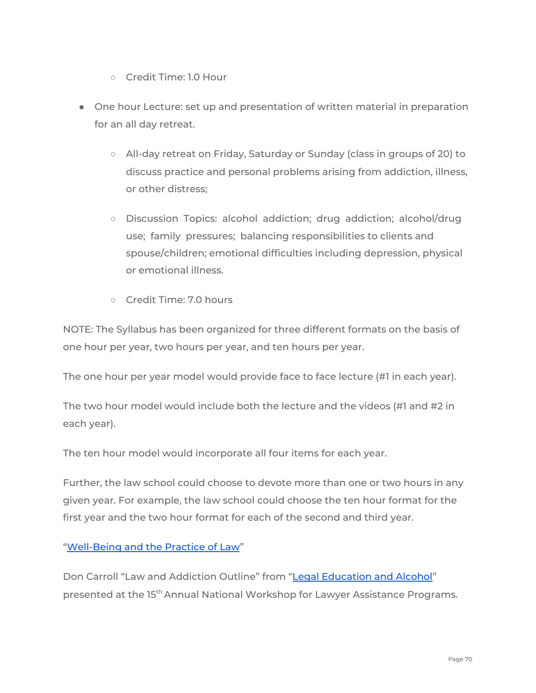- Credit Time: 1.0 Hour
- One hour Lecture: set up and presentation of written material in preparation for an all day retreat.
	- All-day retreat on Friday, Saturday or Sunday (class in groups of 20) to discuss practice and personal problems arising from addiction, illness, or other distress;
	- Discussion Topics: alcohol addiction; drug addiction; alcohol/drug use; family pressures; balancing responsibilities to clients and spouse/children; emotional difficulties including depression, physical or emotional illness.
	- Credit Time: 7.0 hours

NOTE: The Syllabus has been organized for three different formats on the basis of one hour per year, two hours per year, and ten hours per year.

The one hour per year model would provide face to face lecture (#1 in each year).

The two hour model would include both the lecture and the videos (#1 and #2 in each year).

The ten hour model would incorporate all four items for each year.

Further, the law school could choose to devote more than one or two hours in any given year. For example, the law school could choose the ten hour format for the first year and the two hour format for each of the second and third year.

#### ["Well-Being](https://law.duke.edu/curriculum/courseinfo/course?id=419) and the Practice of Law"

Don Carroll "Law and Addiction Outline" from "Legal [Education](https://www.americanbar.org/content/dam/aba/administrative/lawyer_assistance/ls_colap_don_carroll_legal_educ_and_alcohol.authcheckdam.pdf) and Alcohol" presented at the 15<sup>th</sup> Annual National Workshop for Lawyer Assistance Programs.